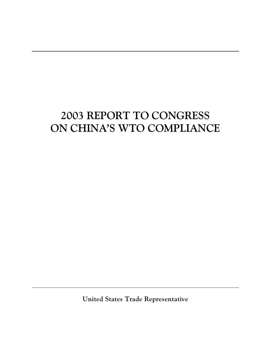# **2003 REPORT TO CONGRESS ON CHINA'S WTO COMPLIANCE**

**United States Trade Representative**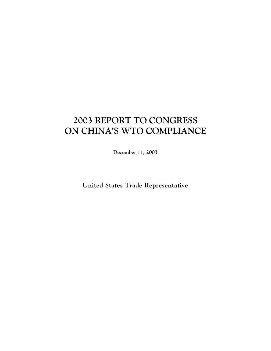# **2003 REPORT TO CONGRESS ON CHINA'S WTO COMPLIANCE**

**December 11, 2003**

**United States Trade Representative**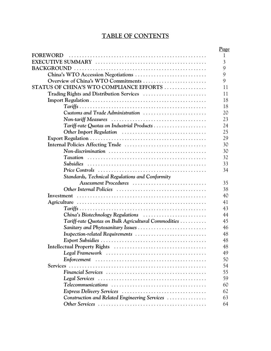# **TABLE OF CONTENTS**

|                                                     | <b>Page</b>    |
|-----------------------------------------------------|----------------|
| FOREWORD                                            | $\mathbf{1}$   |
|                                                     | $\mathfrak{Z}$ |
|                                                     | 9              |
| China's WTO Accession Negotiations                  | 9              |
| Overview of China's WTO Commitments                 | 9              |
| STATUS OF CHINA'S WTO COMPLIANCE EFFORTS            | 11             |
| Trading Rights and Distribution Services            | 11             |
|                                                     | 18             |
|                                                     | 18             |
| Customs and Trade Administration                    | 20             |
|                                                     | 23             |
| Tariff-rate Quotas on Industrial Products           | 24             |
|                                                     | 25             |
|                                                     | 29             |
|                                                     | 30             |
|                                                     | 30             |
|                                                     | 32             |
|                                                     | 33             |
|                                                     | 34             |
| Standards, Technical Regulations and Conformity     |                |
| Assessment Procedures                               | 35             |
|                                                     | 38             |
|                                                     | 40             |
|                                                     | 41             |
|                                                     | 43             |
|                                                     | 44             |
| Tariff-rate Quotas on Bulk Agricultural Commodities | 45             |
| Sanitary and Phytosanitary Issues                   | 46             |
| Inspection-related Requirements                     | 48             |
|                                                     | 48             |
|                                                     | 48             |
|                                                     | 49             |
|                                                     | 50             |
|                                                     | 54             |
|                                                     | 55             |
|                                                     | 59             |
|                                                     | 60             |
| Express Delivery Services                           | 62             |
| Construction and Related Engineering Services       | 63             |
|                                                     | 64             |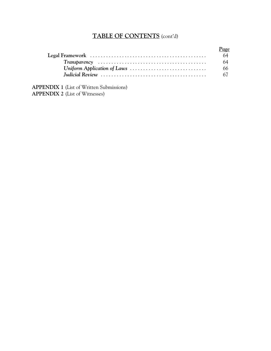# **TABLE OF CONTENTS** (cont'd)

| Page |
|------|
| 64   |
| 64   |
| 66   |
| 67   |

**APPENDIX 1** (List of Written Submissions) **APPENDIX 2** (List of Witnesses)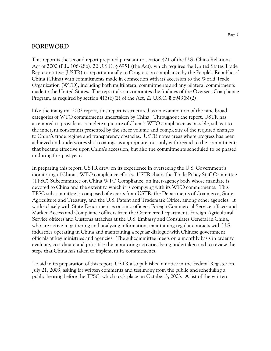# **FOREWORD**

This report is the second report prepared pursuant to section 421 of the U.S.-China Relations Act of 2000 (P.L. 106-286), 22 U.S.C. § 6951 (the Act), which requires the United States Trade Representative (USTR) to report annually to Congress on compliance by the People's Republic of China (China) with commitments made in connection with its accession to the World Trade Organization (WTO), including both multilateral commitments and any bilateral commitments made to the United States. The report also incorporates the findings of the Overseas Compliance Program, as required by section  $413(b)(2)$  of the Act, 22 U.S.C. § 6943(b)(2).

Like the inaugural 2002 report, this report is structured as an examination of the nine broad categories of WTO commitments undertaken by China. Throughout the report, USTR has attempted to provide as complete a picture of China's WTO compliance as possible, subject to the inherent constraints presented by the sheer volume and complexity of the required changes to China's trade regime and transparency obstacles. USTR notes areas where progress has been achieved and underscores shortcomings as appropriate, not only with regard to the commitments that became effective upon China's accession, but also the commitments scheduled to be phased in during this past year.

In preparing this report, USTR drew on its experience in overseeing the U.S. Government's monitoring of China's WTO compliance efforts. USTR chairs the Trade Policy Staff Committee (TPSC) Subcommittee on China WTO Compliance, an inter-agency body whose mandate is devoted to China and the extent to which it is complying with its WTO commitments. This TPSC subcommittee is composed of experts from USTR, the Departments of Commerce, State, Agriculture and Treasury, and the U.S. Patent and Trademark Office, among other agencies. It works closely with State Department economic officers, Foreign Commercial Service officers and Market Access and Compliance officers from the Commerce Department, Foreign Agricultural Service officers and Customs attaches at the U.S. Embassy and Consulates General in China, who are active in gathering and analyzing information, maintaining regular contacts with U.S. industries operating in China and maintaining a regular dialogue with Chinese government officials at key ministries and agencies. The subcommittee meets on a monthly basis in order to evaluate, coordinate and prioritize the monitoring activities being undertaken and to review the steps that China has taken to implement its commitments.

To aid in its preparation of this report, USTR also published a notice in the Federal Register on July 21, 2003, asking for written comments and testimony from the public and scheduling a public hearing before the TPSC, which took place on October 3, 2003. A list of the written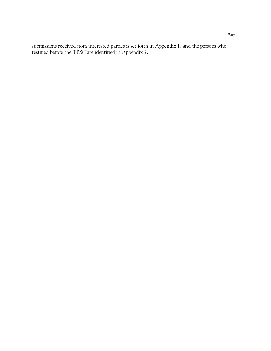submissions received from interested parties is set forth in Appendix 1, and the persons who testified before the TPSC are identified in Appendix 2.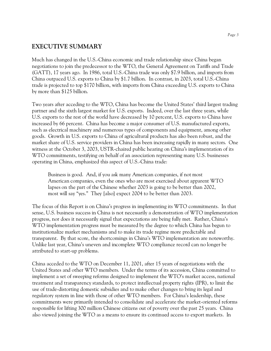# **EXECUTIVE SUMMARY**

Much has changed in the U.S.-China economic and trade relationship since China began negotiations to join the predecessor to the WTO, the General Agreement on Tariffs and Trade (GATT), 17 years ago. In 1986, total U.S.-China trade was only \$7.9 billion, and imports from China outpaced U.S. exports to China by \$1.7 billion. In contrast, in 2003, total U.S.-China trade is projected to top \$170 billion, with imports from China exceeding U.S. exports to China by more than \$125 billion.

Two years after acceding to the WTO, China has become the United States' third largest trading partner and the sixth largest market for U.S. exports. Indeed, over the last three years, while U.S. exports to the rest of the world have decreased by 10 percent, U.S. exports to China have increased by 66 percent. China has become a major consumer of U.S. manufactured exports, such as electrical machinery and numerous types of components and equipment, among other goods. Growth in U.S. exports to China of agricultural products has also been robust, and the market share of U.S. service providers in China has been increasing rapidly in many sectors. One witness at the October 3, 2003, USTR-chaired public hearing on China's implementation of its WTO commitments, testifying on behalf of an association representing many U.S. businesses operating in China, emphasized this aspect of U.S.-China trade:

Business is good. And, if you ask many American companies, if not most American companies, even the ones who are most exercised about apparent WTO lapses on the part of the Chinese whether 2003 is going to be better than 2002, most will say "yes." They [also] expect 2004 to be better than 2003.

The focus of this Report is on China's progress in implementing its WTO commitments. In that sense, U.S. business success in China is not necessarily a demonstration of WTO implementation progress, nor does it necessarily signal that expectations are being fully met. Rather, China's WTO implementation progress must be measured by the degree to which China has begun to institutionalize market mechanisms and to make its trade regime more predictable and transparent. By that score, the shortcomings in China's WTO implementation are noteworthy. Unlike last year, China's uneven and incomplete WTO compliance record can no longer be attributed to start-up problems.

China acceded to the WTO on December 11, 2001, after 15 years of negotiations with the United States and other WTO members. Under the terms of its accession, China committed to implement a set of sweeping reforms designed to implement the WTO's market access, national treatment and transparency standards, to protect intellectual property rights (IPR), to limit the use of trade-distorting domestic subsidies and to make other changes to bring its legal and regulatory system in line with those of other WTO members. For China's leadership, these commitments were primarily intended to consolidate and accelerate the market-oriented reforms responsible for lifting 300 million Chinese citizens out of poverty over the past 25 years. China also viewed joining the WTO as a means to ensure its continued access to export markets. In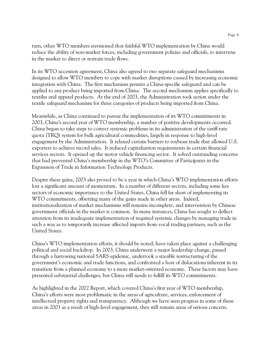turn, other WTO members envisioned that faithful WTO implementation by China would reduce the ability of non-market forces, including government policies and officials, to intervene in the market to direct or restrain trade flows.

In its WTO accession agreement, China also agreed to two separate safeguard mechanisms designed to allow WTO members to cope with market disruptions caused by increasing economic integration with China. The first mechanism permits a China-specific safeguard and can be applied to any product being imported from China. The second mechanism applies specifically to textiles and apparel products. At the end of 2003, the Administration took action under the textile safeguard mechanism for three categories of products being imported from China.

Meanwhile, as China continued to pursue the implementation of its WTO commitments in 2003, China's second year of WTO membership, a number of positive developments occurred. China began to take steps to correct systemic problems in its administration of the tariff-rate quota (TRQ) system for bulk agricultural commodities, largely in response to high-level engagement by the Administration. It relaxed certain barriers to soybean trade that allowed U.S. exporters to achieve record sales. It reduced capitalization requirements in certain financial services sectors. It opened up the motor vehicle financing sector. It solved outstanding concerns that had prevented China's membership in the WTO's Committee of Participants in the Expansion of Trade in Information Technology Products.

Despite these gains, 2003 also proved to be a year in which China's WTO implementation efforts lost a significant amount of momentum. In a number of different sectors, including some key sectors of economic importance to the United States, China fell far short of implementing its WTO commitments, offsetting many of the gains made in other areas. Indeed, institutionalization of market mechanisms still remains incomplete, and intervention by Chinese government officials in the market is common. In many instances, China has sought to deflect attention from its inadequate implementation of required systemic changes by managing trade in such a way as to temporarily increase affected imports from vocal trading partners, such as the United States.

China's WTO implementation efforts, it should be noted, have taken place against a challenging political and social backdrop. In 2003, China underwent a major leadership change, passed through a harrowing national SARS epidemic, undertook a sizeable restructuring of the government's economic and trade functions, and confronted a host of dislocations inherent in its transition from a planned economy to a more market-oriented economy. These factors may have presented substantial challenges, but China still needs to fulfill its WTO commitments.

As highlighted in the 2002 Report, which covered China's first year of WTO membership, China's efforts were most problematic in the areas of agriculture, services, enforcement of intellectual property rights and transparency. Although we have seen progress in some of these areas in 2003 as a result of high-level engagement, they still remain areas of serious concern.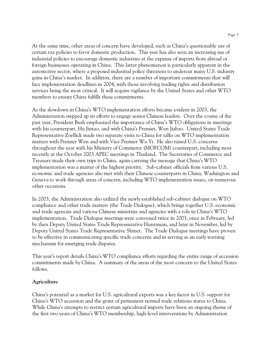At the same time, other areas of concern have developed, such as China's questionable use of certain tax policies to favor domestic production. This year has also seen an increasing use of industrial policies to encourage domestic industries at the expense of imports from abroad or foreign businesses operating in China. This latter phenomenon is particularly apparent in the automotive sector, where a proposed industrial policy threatens to undercut many U.S. industry gains in China's market. In addition, there are a number of important commitments that will face implementation deadlines in 2004, with those involving trading rights and distribution services being the most critical. It will require vigilance by the United States and other WTO members to ensure China fulfills these commitments.

As the slowdown in China's WTO implementation efforts became evident in 2003, the Administration stepped up its efforts to engage senior Chinese leaders. Over the course of the past year, President Bush emphasized the importance of China's WTO obligations in meetings with his counterpart, Hu Jintao, and with China's Premier, Wen Jiabao. United States Trade Representative Zoellick made two separate visits to China for talks on WTO implementation matters with Premier Wen and with Vice Premier Wu Yi. He also raised U.S. concerns throughout the year with his Ministry of Commerce (MOFCOM) counterpart, including most recently at the October 2003 APEC meetings in Thailand. The Secretaries of Commerce and Treasury made their own trips to China, again carrying the message that China's WTO implementation was a matter of the highest priority. Sub-cabinet officials from various U.S. economic and trade agencies also met with their Chinese counterparts in China, Washington and Geneva to work through areas of concern, including WTO implementation issues, on numerous other occasions.

In 2003, the Administration also utilized the newly established sub-cabinet dialogue on WTO compliance and other trade matters (the Trade Dialogue), which brings together U.S. economic and trade agencies and various Chinese ministries and agencies with a role in China's WTO implementation. Trade Dialogue meetings were convened twice in 2003, once in February, led by then Deputy United States Trade Representative Huntsman, and later in November, led by Deputy United States Trade Representative Shiner. The Trade Dialogue meetings have proven to be effective in communicating specific trade concerns and in serving as an early warning mechanism for emerging trade disputes.

This year's report details China's WTO compliance efforts regarding the entire range of accession commitments made by China. A summary of the areas of the most concern to the United States follows.

# **Agriculture**

China's potential as a market for U.S. agricultural exports was a key factor in U.S. support for China's WTO accession and the grant of permanent normal trade relations status to China. While China's attempts to restrict certain agricultural imports have been an ongoing theme of the first two years of China's WTO membership, high-level interventions by Administration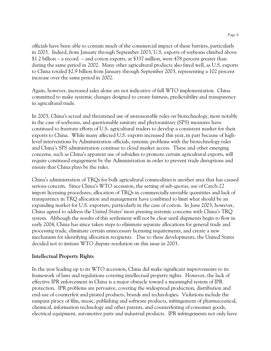officials have been able to contain much of the commercial impact of these barriers, particularly in 2003. Indeed, from January through September 2003, U.S. exports of soybeans climbed above  $$1.2$  billion – a record – and cotton exports, at \$337 million, were 478 percent greater than during the same period in 2002. Many other agricultural products also fared well, as U.S. exports to China totaled \$2.9 billion from January through September 2003, representing a 102 percent increase over the same period in 2002.

Again, however, increased sales alone are not indicative of full WTO implementation. China committed to make systemic changes designed to create fairness, predictability and transparency in agricultural trade.

In 2003, China's actual and threatened use of unreasonable rules on biotechnology, most notably in the case of soybeans, and questionable sanitary and phytosanitary (SPS) measures have continued to frustrate efforts of U.S. agricultural traders to develop a consistent market for their exports to China. While many affected U.S. exports increased this year, in part because of highlevel interventions by Administration officials, systemic problems with the biotechnology rules and China's SPS administration continue to cloud market access. These and other emerging concerns, such as China's apparent use of subsidies to promote certain agricultural exports, will require continued engagement by the Administration in order to prevent trade disruptions and ensure that China plays by the rules.

China's administration of TRQs for bulk agricultural commodities is another area that has caused serious concern. Since China's WTO accession, the setting of sub-quotas, use of Catch-22 import licensing procedures, allocation of TRQs in commercially unviable quantities and lack of transparency in TRQ allocation and management have combined to limit what should be an expanding market for U.S. exporters, particularly in the case of cotton. In June 2003, however, China agreed to address the United States' most pressing systemic concerns with China's TRQ system. Although the results of this settlement will not be clear until shipments begin to flow in early 2004, China has since taken steps to eliminate separate allocations for general trade and processing trade, eliminate certain unnecessary licensing requirements, and create a new mechanism for identifying allocation recipients. Due to these developments, the United States decided not to initiate WTO dispute resolution on this issue in 2003.

# **Intellectual Property Rights**

In the year leading up to its WTO accession, China did make significant improvements to its framework of laws and regulations covering intellectual property rights. However, the lack of effective IPR enforcement in China is a major obstacle toward a meaningful system of IPR protection. IPR problems are pervasive, covering the widespread production, distribution and end-use of counterfeit and pirated products, brands and technologies. Violations include the rampant piracy of film, music, publishing and software products, infringement of pharmaceutical, chemical, information technology and other patents, and counterfeiting of consumer goods, electrical equipment, automotive parts and industrial products. IPR infringements not only have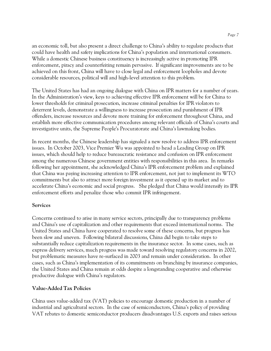an economic toll, but also present a direct challenge to China's ability to regulate products that could have health and safety implications for China's population and international consumers. While a domestic Chinese business constituency is increasingly active in promoting IPR enforcement, piracy and counterfeiting remain pervasive. If significant improvements are to be achieved on this front, China will have to close legal and enforcement loopholes and devote considerable resources, political will and high-level attention to this problem.

The United States has had an ongoing dialogue with China on IPR matters for a number of years. In the Administration's view, keys to achieving effective IPR enforcement will be for China to lower thresholds for criminal prosecution, increase criminal penalties for IPR violators to deterrent levels, demonstrate a willingness to increase prosecution and punishment of IPR offenders, increase resources and devote more training for enforcement throughout China, and establish more effective communication procedures among relevant officials of China's courts and investigative units, the Supreme People's Procuratorate and China's lawmaking bodies.

In recent months, the Chinese leadership has signaled a new resolve to address IPR enforcement issues. In October 2003, Vice Premier Wu was appointed to head a Leading Group on IPR issues, which should help to reduce bureaucratic resistance and confusion on IPR enforcement among the numerous Chinese government entities with responsibilities in this area. In remarks following her appointment, she acknowledged China's IPR enforcement problem and explained that China was paying increasing attention to IPR enforcement, not just to implement its WTO commitments but also to attract more foreign investment as it opened up its market and to accelerate China's economic and social progress. She pledged that China would intensify its IPR enforcement efforts and penalize those who commit IPR infringement.

# **Services**

Concerns continued to arise in many service sectors, principally due to transparency problems and China's use of capitalization and other requirements that exceed international norms. The United States and China have cooperated to resolve some of these concerns, but progress has been slow and uneven. Following bilateral discussions, China did begin to take steps to substantially reduce capitalization requirements in the insurance sector. In some cases, such as express delivery services, much progress was made toward resolving regulatory concerns in 2002, but problematic measures have re-surfaced in 2003 and remain under consideration. In other cases, such as China's implementation of its commitments on branching by insurance companies, the United States and China remain at odds despite a longstanding cooperative and otherwise productive dialogue with China's regulators.

# **Value-Added Tax Policies**

China uses value-added tax (VAT) policies to encourage domestic production in a number of industrial and agricultural sectors. In the case of semiconductors, China's policy of providing VAT rebates to domestic semiconductor producers disadvantages U.S. exports and raises serious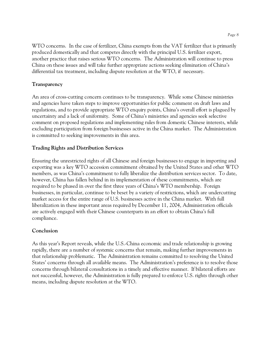WTO concerns. In the case of fertilizer, China exempts from the VAT fertilizer that is primarily produced domestically and that competes directly with the principal U.S. fertilizer export, another practice that raises serious WTO concerns. The Administration will continue to press China on these issues and will take further appropriate actions seeking elimination of China's differential tax treatment, including dispute resolution at the WTO, if necessary.

#### **Transparency**

An area of cross-cutting concern continues to be transparency. While some Chinese ministries and agencies have taken steps to improve opportunities for public comment on draft laws and regulations, and to provide appropriate WTO enquiry points, China's overall effort is plagued by uncertainty and a lack of uniformity. Some of China's ministries and agencies seek selective comment on proposed regulations and implementing rules from domestic Chinese interests, while excluding participation from foreign businesses active in the China market. The Administration is committed to seeking improvements in this area.

#### **Trading Rights and Distribution Services**

Ensuring the unrestricted rights of all Chinese and foreign businesses to engage in importing and exporting was a key WTO accession commitment obtained by the United States and other WTO members, as was China's commitment to fully liberalize the distribution services sector. To date, however, China has fallen behind in its implementation of these commitments, which are required to be phased in over the first three years of China's WTO membership. Foreign businesses, in particular, continue to be beset by a variety of restrictions, which are undercutting market access for the entire range of U.S. businesses active in the China market. With full liberalization in these important areas required by December 11, 2004, Administration officials are actively engaged with their Chinese counterparts in an effort to obtain China's full compliance.

#### **Conclusion**

As this year's Report reveals, while the U.S.-China economic and trade relationship is growing rapidly, there are a number of systemic concerns that remain, making further improvements in that relationship problematic. The Administration remains committed to resolving the United States' concerns through all available means. The Administration's preference is to resolve those concerns through bilateral consultations in a timely and effective manner. If bilateral efforts are not successful, however, the Administration is fully prepared to enforce U.S. rights through other means, including dispute resolution at the WTO.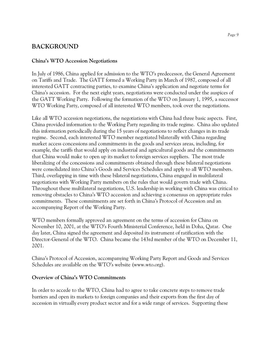# **BACKGROUND**

# **China's WTO Accession Negotiations**

In July of 1986, China applied for admission to the WTO's predecessor, the General Agreement on Tariffs and Trade. The GATT formed a Working Party in March of 1987, composed of all interested GATT contracting parties, to examine China's application and negotiate terms for China's accession. For the next eight years, negotiations were conducted under the auspices of the GATT Working Party. Following the formation of the WTO on January 1, 1995, a successor WTO Working Party, composed of all interested WTO members, took over the negotiations.

Like all WTO accession negotiations, the negotiations with China had three basic aspects. First, China provided information to the Working Party regarding its trade regime. China also updated this information periodically during the 15 years of negotiations to reflect changes in its trade regime. Second, each interested WTO member negotiated bilaterally with China regarding market access concessions and commitments in the goods and services areas, including, for example, the tariffs that would apply on industrial and agricultural goods and the commitments that China would make to open up its market to foreign services suppliers. The most trade liberalizing of the concessions and commitments obtained through these bilateral negotiations were consolidated into China's Goods and Services Schedules and apply to all WTO members. Third, overlapping in time with these bilateral negotiations, China engaged in multilateral negotiations with Working Party members on the rules that would govern trade with China. Throughout these multilateral negotiations, U.S. leadership in working with China was critical to removing obstacles to China's WTO accession and achieving a consensus on appropriate rules commitments. These commitments are set forth in China's Protocol of Accession and an accompanying Report of the Working Party.

WTO members formally approved an agreement on the terms of accession for China on November 10, 2001, at the WTO's Fourth Ministerial Conference, held in Doha, Qatar. One day later, China signed the agreement and deposited its instrument of ratification with the Director-General of the WTO. China became the 143rd member of the WTO on December 11, 2001.

China's Protocol of Accession, accompanying Working Party Report and Goods and Services Schedules are available on the WTO's website (www.wto.org).

# **Overview of China's WTO Commitments**

In order to accede to the WTO, China had to agree to take concrete steps to remove trade barriers and open its markets to foreign companies and their exports from the first day of accession in virtually every product sector and for a wide range of services. Supporting these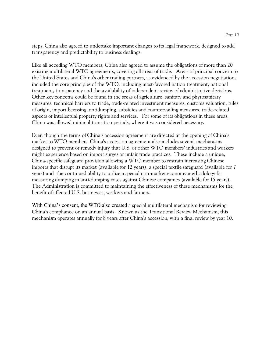steps, China also agreed to undertake important changes to its legal framework, designed to add transparency and predictability to business dealings.

Like all acceding WTO members, China also agreed to assume the obligations of more than 20 existing multilateral WTO agreements, covering all areas of trade. Areas of principal concern to the United States and China's other trading partners, as evidenced by the accession negotiations, included the core principles of the WTO, including most-favored nation treatment, national treatment, transparency and the availability of independent review of administrative decisions. Other key concerns could be found in the areas of agriculture, sanitary and phytosanitary measures, technical barriers to trade, trade-related investment measures, customs valuation, rules of origin, import licensing, antidumping, subsidies and countervailing measures, trade-related aspects of intellectual property rights and services. For some of its obligations in these areas, China was allowed minimal transition periods, where it was considered necessary.

Even though the terms of China's accession agreement are directed at the opening of China's market to WTO members, China's accession agreement also includes several mechanisms designed to prevent or remedy injury that U.S. or other WTO members' industries and workers might experience based on import surges or unfair trade practices. These include a unique, China-specific safeguard provision allowing a WTO member to restrain increasing Chinese imports that disrupt its market (available for 12 years), a special textile safeguard (available for 7 years) and the continued ability to utilize a special non-market economy methodology for measuring dumping in anti-dumping cases against Chinese companies (available for 15 years). The Administration is committed to maintaining the effectiveness of these mechanisms for the benefit of affected U.S. businesses, workers and farmers.

With China's consent, the WTO also created a special multilateral mechanism for reviewing China's compliance on an annual basis. Known as the Transitional Review Mechanism, this mechanism operates annually for 8 years after China's accession, with a final review by year 10.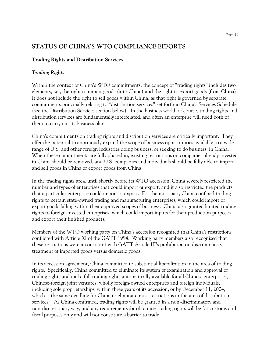# **STATUS OF CHINA'S WTO COMPLIANCE EFFORTS**

# **Trading Rights and Distribution Services**

# *Trading Rights*

Within the context of China's WTO commitments, the concept of "trading rights" includes two elements, i.e., the right to import goods (into China) and the right to export goods (from China). It does not include the right to sell goods within China, as that right is governed by separate commitments principally relating to "distribution services" set forth in China's Services Schedule (see the Distribution Services section below). In the business world, of course, trading rights and distribution services are fundamentally interrelated, and often an enterprise will need both of them to carry out its business plan.

China's commitments on trading rights and distribution services are critically important. They offer the potential to enormously expand the scope of business opportunities available to a wide range of U.S. and other foreign industries doing business, or seeking to do business, in China. When these commitments are fully phased in, existing restrictions on companies already invested in China should be removed, and U.S. companies and individuals should be fully able to import and sell goods in China or export goods from China.

In the trading rights area, until shortly before its WTO accession, China severely restricted the number and types of enterprises that could import or export, and it also restricted the products that a particular enterprise could import or export. For the most part, China confined trading rights to certain state-owned trading and manufacturing enterprises, which could import or export goods falling within their approved scopes of business. China also granted limited trading rights to foreign-invested enterprises, which could import inputs for their production purposes and export their finished products.

Members of the WTO working party on China's accession recognized that China's restrictions conflicted with Article XI of the GATT 1994. Working party members also recognized that these restrictions were inconsistent with GATT Article III's prohibition on discriminatory treatment of imported goods versus domestic goods.

In its accession agreement, China committed to substantial liberalization in the area of trading rights. Specifically, China committed to eliminate its system of examination and approval of trading rights and make full trading rights automatically available for all Chinese enterprises, Chinese-foreign joint ventures, wholly foreign-owned enterprises and foreign individuals, including sole proprietorships, within three years of its accession, or by December 11, 2004, which is the same deadline for China to eliminate most restrictions in the area of distribution services. As China confirmed, trading rights will be granted in a non-discriminatory and non-discretionary way, and any requirements for obtaining trading rights will be for customs and fiscal purposes only and will not constitute a barrier to trade.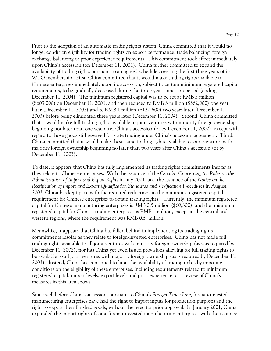Prior to the adoption of an automatic trading rights system, China committed that it would no longer condition eligibility for trading rights on export performance, trade balancing, foreign exchange balancing or prior experience requirements. This commitment took effect immediately upon China's accession (on December 11, 2001). China further committed to expand the availability of trading rights pursuant to an agreed schedule covering the first three years of its WTO membership. First, China committed that it would make trading rights available to Chinese enterprises immediately upon its accession, subject to certain minimum registered capital requirements, to be gradually decreased during the three-year transition period (ending December 11, 2004). The minimum registered capital was to be set at RMB 5 million (\$603,000) on December 11, 2001, and then reduced to RMB 3 million (\$362,000) one year later (December 11, 2002) and to RMB 1 million (\$120,600) two years later (December 11, 2003) before being eliminated three years later (December 11, 2004). Second, China committed that it would make full trading rights available to joint ventures with minority foreign ownership beginning not later than one year after China's accession (or by December 11, 2002), except with regard to those goods still reserved for state trading under China's accession agreement. Third, China committed that it would make these same trading rights available to joint ventures with majority foreign ownership beginning no later than two years after China's accession (or by December 11, 2003).

To date, it appears that China has fully implemented its trading rights commitments insofar as they relate to Chinese enterprises. With the issuance of the *Circular Concerning the Rules on the Administration of Import and Export Rights* in July 2001, and the issuance of the *Notice on the Rectification of Import and Export Qualification Standards and Verification Procedures* in August 2003, China has kept pace with the required reductions in the minimum registered capital requirement for Chinese enterprises to obtain trading rights. Currently, the minimum registered capital for Chinese manufacturing enterprises is RMB 0.5 million (\$60,300), and the minimum registered capital for Chinese trading enterprises is RMB 1 million, except in the central and western regions, where the requirement was RMB 0.5 million.

Meanwhile, it appears that China has fallen behind in implementing its trading rights commitments insofar as they relate to foreign-invested enterprises. China has not made full trading rights available to all joint ventures with minority foreign ownership (as was required by December 11, 2002), nor has China yet even issued provisions allowing for full trading rights to be available to all joint ventures with majority foreign ownership (as is required by December 11, 2003). Instead, China has continued to limit the availability of trading rights by imposing conditions on the eligibility of these enterprises, including requirements related to minimum registered capital, import levels, export levels and prior experience, as a review of China's measures in this area shows.

Since well before China's accession, pursuant to China's *Foreign Trade Law*, foreign-invested manufacturing enterprises have had the right to import inputs for production purposes and the right to export their finished goods, without the need for prior approval. In January 2001, China expanded the import rights of some foreign-invested manufacturing enterprises with the issuance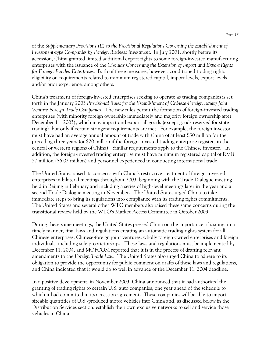of the *Supplementary Provisions (II) to the Provisional Regulations Governing the Establishment of Investment-type Companies by Foreign Business Investment*. In July 2001, shortly before its accession, China granted limited additional export rights to some foreign-invested manufacturing enterprises with the issuance of the *Circular Concerning the Extension of Import and Export Rights for Foreign-Funded Enterprises*. Both of these measures, however, conditioned trading rights eligibility on requirements related to minimum registered capital, import levels, export levels and/or prior experience, among others.

China's treatment of foreign-invested enterprises seeking to operate as trading companies is set forth in the January 2003 *Provisional Rules for the Establishment of Chinese-Foreign Equity Joint Venture Foreign Trade Companies*. The new rules permit the formation of foreign-invested trading enterprises (with minority foreign ownership immediately and majority foreign ownership after December 11, 2003), which may import and export all goods (except goods reserved for state trading), but only if certain stringent requirements are met. For example, the foreign investor must have had an average annual amount of trade with China of at least \$30 million for the preceding three years (or \$20 million if the foreign-invested trading enterprise registers in the central or western regions of China). Similar requirements apply to the Chinese investor. In addition, the foreign-invested trading enterprise must have minimum registered capital of RMB 50 million (\$6.03 million) and personnel experienced in conducting international trade.

The United States raised its concerns with China's restrictive treatment of foreign-invested enterprises in bilateral meetings throughout 2003, beginning with the Trade Dialogue meeting held in Beijing in February and including a series of high-level meetings later in the year and a second Trade Dialogue meeting in November. The United States urged China to take immediate steps to bring its regulations into compliance with its trading rights commitments. The United States and several other WTO members also raised these same concerns during the transitional review held by the WTO's Market Access Committee in October 2003.

During these same meetings, the United States pressed China on the importance of issuing, in a timely manner, final laws and regulations creating an automatic trading rights system for all Chinese enterprises, Chinese-foreign joint ventures, wholly foreign-owned enterprises and foreign individuals, including sole proprietorships. These laws and regulations must be implemented by December 11, 2004, and MOFCOM reported that it is in the process of drafting relevant amendments to the *Foreign Trade Law*. The United States also urged China to adhere to its obligation to provide the opportunity for public comment on drafts of these laws and regulations, and China indicated that it would do so well in advance of the December 11, 2004 deadline.

In a positive development, in November 2003, China announced that it had authorized the granting of trading rights to certain U.S. auto companies, one year ahead of the schedule to which it had committed in its accession agreement. These companies will be able to import sizeable quantities of U.S.-produced motor vehicles into China and, as discussed below in the Distribution Services section, establish their own exclusive networks to sell and service those vehicles in China.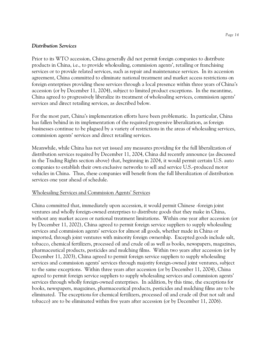#### *Distribution Services*

Prior to its WTO accession, China generally did not permit foreign companies to distribute products in China, i.e., to provide wholesaling, commission agents', retailing or franchising services or to provide related services, such as repair and maintenance services. In its accession agreement, China committed to eliminate national treatment and market access restrictions on foreign enterprises providing these services through a local presence within three years of China's accession (or by December 11, 2004), subject to limited product exceptions. In the meantime, China agreed to progressively liberalize its treatment of wholesaling services, commission agents' services and direct retailing services, as described below.

For the most part, China's implementation efforts have been problematic. In particular, China has fallen behind in its implementation of the required progressive liberalization, as foreign businesses continue to be plagued by a variety of restrictions in the areas of wholesaling services, commission agents' services and direct retailing services.

Meanwhile, while China has not yet issued any measures providing for the full liberalization of distribution services required by December 11, 2004, China did recently announce (as discussed in the Trading Rights section above) that, beginning in 2004, it would permit certain U.S. auto companies to establish their own exclusive networks to sell and service U.S.-produced motor vehicles in China. Thus, these companies will benefit from the full liberalization of distribution services one year ahead of schedule.

# Wholesaling Services and Commission Agents' Services

China committed that, immediately upon accession, it would permit Chinese -foreign joint ventures and wholly foreign-owned enterprises to distribute goods that they make in China, without any market access or national treatment limitations. Within one year after accession (or by December 11, 2002), China agreed to permit foreign service suppliers to supply wholesaling services and commission agents' services for almost all goods, whether made in China or imported, through joint ventures with minority foreign ownership. Excepted goods include salt, tobacco, chemical fertilizers, processed oil and crude oil as well as books, newspapers, magazines, pharmaceutical products, pesticides and mulching films. Within two years after accession (or by December 11, 2003), China agreed to permit foreign service suppliers to supply wholesaling services and commission agents' services through majority foreign-owned joint ventures, subject to the same exceptions. Within three years after accession (or by December 11, 2004), China agreed to permit foreign service suppliers to supply wholesaling services and commission agents' services through wholly foreign-owned enterprises. In addition, by this time, the exceptions for books, newspapers, magazines, pharmaceutical products, pesticides and mulching films are to be eliminated. The exceptions for chemical fertilizers, processed oil and crude oil (but not salt and tobacco) are to be eliminated within five years after accession (or by December 11, 2006).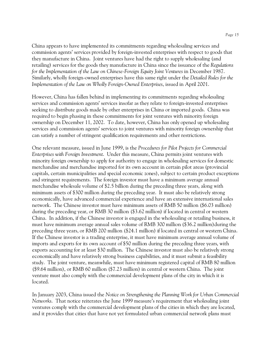China appears to have implemented its commitments regarding wholesaling services and commission agents' services provided by foreign-invested enterprises with respect to goods that they manufacture in China. Joint ventures have had the right to supply wholesaling (and retailing) services for the goods they manufacture in China since the issuance of the *Regulations for the Implementation of the Law on Chinese-Foreign Equity Joint Ventures in December 1987.* Similarly, wholly foreign-owned enterprises have this same right under the *Detailed Rules for the Implementation of the Law on Wholly Foreign-Owned Enterprises*, issued in April 2001.

However, China has fallen behind in implementing its commitments regarding wholesaling services and commission agents' services insofar as they relate to foreign-invested enterprises seeking to distribute goods made by other enterprises in China or imported goods. China was required to begin phasing in these commitments for joint ventures with minority foreign ownership on December 11, 2002. To date, however, China has only opened up wholesaling services and commission agents' services to joint ventures with minority foreign ownership that can satisfy a number of stringent qualification requirements and other restrictions.

One relevant measure, issued in June 1999, is the *Procedures for Pilot Projects for Commercial Enterprises with Foreign Investment*. Under this measure, China permits joint ventures with minority foreign ownership to apply for authority to engage in wholesaling services for domestic merchandise and merchandise imported for its own account in certain pilot areas (provincial capitals, certain municipalities and special economic zones), subject to certain product exceptions and stringent requirements. The foreign investor must have a minimum average annual merchandise wholesale volume of \$2.5 billion during the preceding three years, along with minimum assets of \$300 million during the preceding year. It must also be relatively strong economically, have advanced commercial experience and have an extensive international sales network. The Chinese investor must have minimum assets of RMB 50 million (\$6.03 million) during the preceding year, or RMB 30 million (\$3.62 million) if located in central or western China. In addition, if the Chinese investor is engaged in the wholesaling or retailing business, it must have minimum average annual sales volume of RMB 300 million (\$36.2 million)during the preceding three years, or RMB 200 million (\$24.1 million) if located in central or western China. If the Chinese investor is a trading enterprise, it must have minimum average annual volume of imports and exports for its own account of \$50 million during the preceding three years, with exports accounting for at least \$30 million. The Chinese investor must also be relatively strong economically and have relatively strong business capabilities, and it must submit a feasibility study. The joint venture, meanwhile, must have minimum registered capital of RMB 80 million (\$9.64 million), or RMB 60 million (\$7.23 million) in central or western China. The joint venture must also comply with the commercial development plans of the city in which it is located.

In January 2003, China issued the *Notice on Strengthening the Planning Work for Urban Commercial Networks*. That notice reiterates the June 1999 measure's requirement that wholesaling joint ventures comply with the commercial development plans of the cities in which they are located, and it provides that cities that have not yet formulated urban commercial network plans must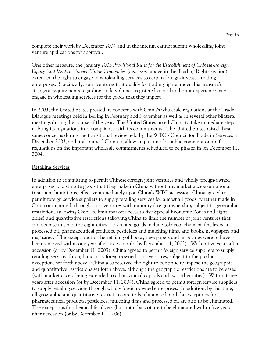complete their work by December 2004 and in the interim cannot submit wholesaling joint venture applications for approval.

One other measure, the January 2003 *Provisional Rules for the Establishment of Chinese-Foreign Equity Joint Venture Foreign Trade Companies* (discussed above in the Trading Rights section), extended the right to engage in wholesaling services to certain foreign-invested trading enterprises. Specifically, joint ventures that qualify for trading rights under this measure's stringent requirements regarding trade volumes, registered capital and prior experience may engage in wholesaling services for the goods that they import.

In 2003, the United States pressed its concerns with China's wholesale regulations at the Trade Dialogue meetings held in Beijing in February and November as well as in several other bilateral meetings during the course of the year. The United States urged China to take immediate steps to bring its regulations into compliance with its commitments. The United States raised these same concerns during the transitional review held by the WTO's Council for Trade in Services in December 2003, and it also urged China to allow ample time for public comment on draft regulations on the important wholesale commitments scheduled to be phased in on December 11, 2004.

#### Retailing Services

In addition to committing to permit Chinese-foreign joint ventures and wholly foreign-owned enterprises to distribute goods that they make in China without any market access or national treatment limitations, effective immediately upon China's WTO accession, China agreed to permit foreign service suppliers to supply retailing services for almost all goods, whether made in China or imported, through joint ventures with minority foreign ownership, subject to geographic restrictions (allowing China to limit market access to five Special Economic Zones and eight cities) and quantitative restrictions (allowing China to limit the number of joint ventures that can operate in six of the eight cities). Excepted goods include tobacco, chemical fertilizers and processed oil, pharmaceutical products, pesticides and mulching films, and books, newspapers and magazines. The exceptions for the retailing of books, newspapers and magazines were to have been removed within one year after accession (or by December 11, 2002). Within two years after accession (or by December 11, 2003), China agreed to permit foreign service suppliers to supply retailing services through majority foreign-owned joint ventures, subject to the product exceptions set forth above. China also reserved the right to continue to impose the geographic and quantitative restrictions set forth above, although the geographic restrictions are to be eased (with market access being extended to all provincial capitals and two other cities). Within three years after accession (or by December 11, 2004), China agreed to permit foreign service suppliers to supply retailing services through wholly foreign-owned enterprises. In addition, by this time, all geographic and quantitative restrictions are to be eliminated, and the exceptions for pharmaceutical products, pesticides, mulching films and processed oil are also to be eliminated. The exceptions for chemical fertilizers (but not tobacco) are to be eliminated within five years after accession (or by December 11, 2006).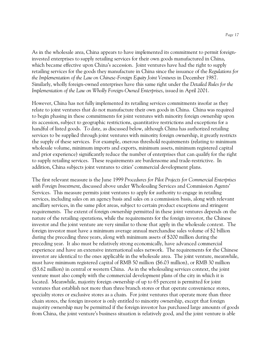As in the wholesale area, China appears to have implemented its commitment to permit foreigninvested enterprises to supply retailing services for their own goods manufactured in China, which became effective upon China's accession. Joint ventures have had the right to supply retailing services for the goods they manufacture in China since the issuance of the *Regulations for the Implementation of the Law on Chinese-Foreign Equity Joint Ventures* in December 1987. Similarly, wholly foreign-owned enterprises have this same right under the *Detailed Rules for the Implementation of the Law on Wholly Foreign-Owned Enterprises*, issued in April 2001.

However, China has not fully implemented its retailing services commitments insofar as they relate to joint ventures that do not manufacture their own goods in China. China was required to begin phasing in these commitments for joint ventures with minority foreign ownership upon its accession, subject to geographic restrictions, quantitative restrictions and exceptions for a handful of listed goods. To date, as discussed below, although China has authorized retailing services to be supplied through joint ventures with minority foreign ownership, it greatly restricts the supply of these services. For example, onerous threshold requirements (relating to minimum wholesale volume, minimum imports and exports, minimum assets, minimum registered capital and prior experience) significantly reduce the number of enterprises that can qualify for the right to supply retailing services. These requirements are burdensome and trade-restrictive. In addition, China subjects joint ventures to cities' commercial development plans.

The first relevant measure is the June 1999 *Procedures for Pilot Projects for Commercial Enterprises with Foreign Investment*, discussed above under Wholesaling Services and Commission Agents' Services. This measure permits joint ventures to apply for authority to engage in retailing services, including sales on an agency basis and sales on a commission basis, along with relevant ancillary services, in the same pilot areas, subject to certain product exceptions and stringent requirements. The extent of foreign ownership permitted in these joint ventures depends on the nature of the retailing operations, while the requirements for the foreign investor, the Chinese investor and the joint venture are very similar to those that apply in the wholesale context. The foreign investor must have a minimum average annual merchandise sales volume of \$2 billion during the preceding three years, along with minimum assets of \$200 million during the preceding year. It also must be relatively strong economically, have advanced commercial experience and have an extensive international sales network. The requirements for the Chinese investor are identical to the ones applicable in the wholesale area. The joint venture, meanwhile, must have minimum registered capital of RMB 50 million (\$6.03 million), or RMB 30 million (\$3.62 million) in central or western China. As in the wholesaling services context, the joint venture must also comply with the commercial development plans of the city in which it is located. Meanwhile, majority foreign ownership of up to 65 percent is permitted for joint ventures that establish not more than three branch stores or that operate convenience stores, specialty stores or exclusive stores as a chain. For joint ventures that operate more than three chain stores, the foreign investor is only entitled to minority ownership, except that foreign majority ownership may be permitted if the foreign investor has purchased large amounts of goods from China, the joint venture's business situation is relatively good, and the joint venture is able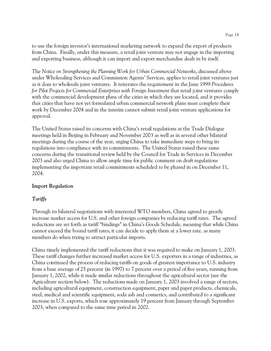to use the foreign investor's international marketing network to expand the export of products from China. Finally, under this measure, a retail joint venture may not engage in the importing and exporting business, although it can import and export merchandise dealt in by itself.

The *Notice on Strengthening the Planning Work for Urban Commercial Networks*, discussed above under Wholesaling Services and Commission Agents' Services, applies to retail joint ventures just as it does to wholesale joint ventures. It reiterates the requirement in the June 1999 *Procedures for Pilot Projects for Commercial Enterprises with Foreign Investment* that retail joint ventures comply with the commercial development plans of the cities in which they are located, and it provides that cities that have not yet formulated urban commercial network plans must complete their work by December 2004 and in the interim cannot submit retail joint venture applications for approval.

The United States raised its concerns with China's retail regulations at the Trade Dialogue meetings held in Beijing in February and November 2003 as well as in several other bilateral meetings during the course of the year, urging China to take immediate steps to bring its regulations into compliance with its commitments. The United States raised these same concerns during the transitional review held by the Council for Trade in Services in December 2003 and also urged China to allow ample time for public comment on draft regulations implementing the important retail commitments scheduled to be phased in on December 11, 2004.

# **Import Regulation**

# *Tariffs*

Through its bilateral negotiations with interested WTO members, China agreed to greatly increase market access for U.S. and other foreign companies by reducing tariff rates. The agreed reductions are set forth as tariff "bindings" in China's Goods Schedule, meaning that while China cannot exceed the bound tariff rates, it can decide to apply them at a lower rate, as many members do when trying to attract particular imports.

China timely implemented the tariff reductions that it was required to make on January 1, 2003. These tariff changes further increased market access for U.S. exporters in a range of industries, as China continued the process of reducing tariffs on goods of greatest importance to U.S. industry from a base average of 25 percent (in 1997) to 7 percent over a period of five years, running from January 1, 2002, while it made similar reductions throughout the agricultural sector (see the Agriculture section below). The reductions made on January 1, 2003 involved a range of sectors, including agricultural equipment, construction equipment, paper and paper products, chemicals, steel, medical and scientific equipment, soda ash and cosmetics, and contributed to a significant increase in U.S. exports, which rose approximately 19 percent from January through September 2003, when compared to the same time period in 2002.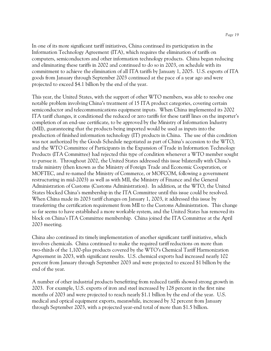In one of its more significant tariff initiatives, China continued its participation in the Information Technology Agreement (ITA), which requires the elimination of tariffs on computers, semiconductors and other information technology products. China began reducing and eliminating these tariffs in 2002 and continued to do so in 2003, on schedule with its commitment to achieve the elimination of all ITA tariffs by January 1, 2005. U.S. exports of ITA goods from January through September 2003 continued at the pace of a year ago and were projected to exceed \$4.1 billion by the end of the year.

This year, the United States, with the support of other WTO members, was able to resolve one notable problem involving China's treatment of 15 ITA product categories, covering certain semiconductor and telecommunications equipment inputs. When China implemented its 2002 ITA tariff changes, it conditioned the reduced or zero tariffs for these tariff lines on the importer's completion of an end-use certificate, to be approved by the Ministry of Information Industry (MII), guaranteeing that the products being imported would be used as inputs into the production of finished information technology (IT) products in China. The use of this condition was not authorized by the Goods Schedule negotiated as part of China's accession to the WTO, and the WTO Committee of Participants in the Expansion of Trade in Information Technology Products (ITA Committee) had rejected this type of condition whenever a WTO member sought to pursue it. Throughout 2002, the United States addressed this issue bilaterally with China's trade ministry (then known as the Ministry of Foreign Trade and Economic Cooperation, or MOFTEC, and re-named the Ministry of Commerce, or MOFCOM, following a government restructuring in mid-2003) as well as with MII, the Ministry of Finance and the General Administration of Customs (Customs Administration). In addition, at the WTO, the United States blocked China's membership in the ITA Committee until this issue could be resolved. When China made its 2003 tariff changes on January 1, 2003, it addressed this issue by transferring the certification requirement from MII to the Customs Administration. This change so far seems to have established a more workable system, and the United States has removed its block on China's ITA Committee membership. China joined the ITA Committee at the April 2003 meeting.

China also continued its timely implementation of another significant tariff initiative, which involves chemicals. China continued to make the required tariff reductions on more than two-thirds of the 1,100-plus products covered by the WTO's Chemical Tariff Harmonization Agreement in 2003, with significant results. U.S. chemical exports had increased nearly 102 percent from January through September 2003 and were projected to exceed \$1 billion by the end of the year.

A number of other industrial products benefitting from reduced tariffs showed strong growth in 2003. For example, U.S. exports of iron and steel increased by 128 percent in the first nine months of 2003 and were projected to reach nearly \$1.1 billion by the end of the year. U.S. medical and optical equipment exports, meanwhile, increased by 32 percent from January through September 2003, with a projected year-end total of more than \$1.5 billion.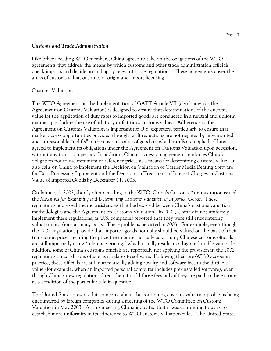#### *Customs and Trade Administration*

Like other acceding WTO members, China agreed to take on the obligations of the WTO agreements that address the means by which customs and other trade administration officials check imports and decide on and apply relevant trade regulations. These agreements cover the areas of customs valuation, rules of origin and import licensing.

# Customs Valuation

The WTO Agreement on the Implementation of GATT Article VII (also known as the Agreement on Customs Valuation) is designed to ensure that determinations of the customs value for the application of duty rates to imported goods are conducted in a neutral and uniform manner, precluding the use of arbitrary or fictitious customs values. Adherence to the Agreement on Customs Valuation is important for U.S. exporters, particularly to ensure that market access opportunities provided through tariff reductions are not negated by unwarranted and unreasonable "uplifts" in the customs value of goods to which tariffs are applied. China agreed to implement its obligations under the Agreement on Customs Valuation upon accession, without any transition period. In addition, China's accession agreement reinforces China's obligation not to use minimum or reference prices as a means for determining customs value. It also calls on China to implement the Decision on Valuation of Carrier Media Bearing Software for Data Processing Equipment and the Decision on Treatment of Interest Charges in Customs Value of Imported Goods by December 11, 2003.

On January 1, 2002, shortly after acceding to the WTO, China's Customs Administration issued the *Measures for Examining and Determining Customs Valuation of Imported Goods.* These regulations addressed the inconsistencies that had existed between China's customs valuation methodologies and the Agreement on Customs Valuation. In 2002, China did not uniformly implement these regulations, as U.S. companies reported that they were still encountering valuation problems at many ports. These problems persisted in 2003. For example, even though the 2002 regulations provide that imported goods normally should be valued on the basis of their transaction price, meaning the price the importer actually paid, many Chinese customs officials are still improperly using "reference pricing," which usually results in a higher dutiable value. In addition, some of China's customs officials are reportedly not applying the provision in the 2002 regulations on conditions of sale as it relates to software. Following their pre-WTO accession practice, these officials are still automatically adding royalty and software fees to the dutiable value (for example, when an imported personal computer includes pre-installed software), even though China's new regulations direct them to add those fees only if they are paid to the exporter as a condition of the particular sale in question.

The United States presented its concerns about the continuing customs valuation problems being encountered by foreign companies during a meeting of the WTO Committee on Customs Valuation in May 2003. At this meeting, China indicated that it was continuing to work to establish more uniformity in its adherence to WTO customs valuation rules. The United States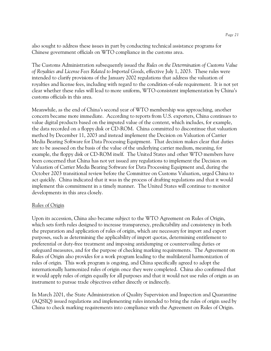also sought to address these issues in part by conducting technical assistance programs for Chinese government officials on WTO compliance in the customs area.

The Customs Administration subsequently issued the *Rules on the Determination of Customs Value of Royalties and License Fees Related to Imported Goods*, effective July 1, 2003. These rules were intended to clarify provisions of the January 2002 regulations that address the valuation of royalties and license fees, including with regard to the condition-of-sale requirement. It is not yet clear whether these rules will lead to more uniform, WTO-consistent implementation by China's customs officials in this area.

Meanwhile, as the end of China's second year of WTO membership was approaching, another concern became more immediate. According to reports from U.S. exporters, China continues to value digital products based on the imputed value of the content, which includes, for example, the data recorded on a floppy disk or CD-ROM. China committed to discontinue that valuation method by December 11, 2003 and instead implement the Decision on Valuation of Carrier Media Bearing Software for Data Processing Equipment. That decision makes clear that duties are to be assessed on the basis of the value of the underlying carrier medium, meaning, for example, the floppy disk or CD-ROM itself. The United States and other WTO members have been concerned that China has not yet issued any regulations to implement the Decision on Valuation of Carrier Media Bearing Software for Data Processing Equipment and, during the October 2003 transitional review before the Committee on Customs Valuation, urged China to act quickly. China indicated that it was in the process of drafting regulations and that it would implement this commitment in a timely manner. The United States will continue to monitor developments in this area closely.

#### Rules of Origin

Upon its accession, China also became subject to the WTO Agreement on Rules of Origin, which sets forth rules designed to increase transparency, predictability and consistency in both the preparation and application of rules of origin, which are necessary for import and export purposes, such as determining the applicability of import quotas, determining entitlement to preferential or duty-free treatment and imposing antidumping or countervailing duties or safeguard measures, and for the purpose of checking marking requirements. The Agreement on Rules of Origin also provides for a work program leading to the multilateral harmonization of rules of origin. This work program is ongoing, and China specifically agreed to adopt the internationally harmonized rules of origin once they were completed. China also confirmed that it would apply rules of origin equally for all purposes and that it would not use rules of origin as an instrument to pursue trade objectives either directly or indirectly.

In March 2001, the State Administration of Quality Supervision and Inspection and Quarantine (AQSIQ) issued regulations and implementing rules intended to bring the rules of origin used by China to check marking requirements into compliance with the Agreement on Rules of Origin.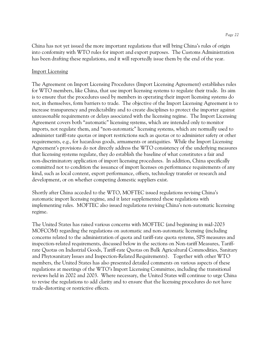China has not yet issued the more important regulations that will bring China's rules of origin into conformity with WTO rules for import and export purposes. The Customs Administration has been drafting these regulations, and it will reportedly issue them by the end of the year.

#### Import Licensing

The Agreement on Import Licensing Procedures (Import Licensing Agreement) establishes rules for WTO members, like China, that use import licensing systems to regulate their trade. Its aim is to ensure that the procedures used by members in operating their import licensing systems do not, in themselves, form barriers to trade. The objective of the Import Licensing Agreement is to increase transparency and predictability and to create disciplines to protect the importer against unreasonable requirements or delays associated with the licensing regime. The Import Licensing Agreement covers both "automatic" licensing systems, which are intended only to monitor imports, not regulate them, and "non-automatic" licensing systems, which are normally used to administer tariff-rate quotas or import restrictions such as quotas or to administer safety or other requirements, e.g., for hazardous goods, armaments or antiquities. While the Import Licensing Agreement's provisions do not directly address the WTO consistency of the underlying measures that licensing systems regulate, they do establish the baseline of what constitutes a fair and non-discriminatory application of import licensing procedures. In addition, China specifically committed not to condition the issuance of import licenses on performance requirements of any kind, such as local content, export performance, offsets, technology transfer or research and development, or on whether competing domestic suppliers exist.

Shortly after China acceded to the WTO, MOFTEC issued regulations revising China's automatic import licensing regime, and it later supplemented these regulations with implementing rules. MOFTEC also issued regulations revising China's non-automatic licensing regime.

The United States has raised various concerns with MOFTEC (and beginning in mid-2003 MOFCOM) regarding the regulations on automatic and non-automatic licensing (including concerns related to the administration of quota and tariff-rate quota systems, SPS measures and inspection-related requirements, discussed below in the sections on Non-tariff Measures, Tariffrate Quotas on Industrial Goods, Tariff-rate Quotas on Bulk Agricultural Commodities, Sanitary and Phytosanitary Issues and Inspection-Related Requirements). Together with other WTO members, the United States has also presented detailed comments on various aspects of these regulations at meetings of the WTO's Import Licensing Committee, including the transitional reviews held in 2002 and 2003. Where necessary, the United States will continue to urge China to revise the regulations to add clarity and to ensure that the licensing procedures do not have trade-distorting or restrictive effects.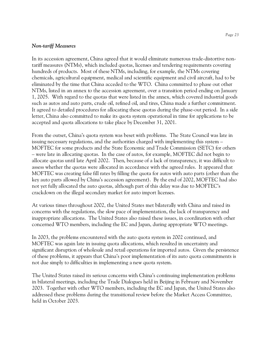#### *Non-tariff Measures*

In its accession agreement, China agreed that it would eliminate numerous trade-distortive nontariff measures (NTMs), which included quotas, licenses and tendering requirements covering hundreds of products. Most of these NTMs, including, for example, the NTMs covering chemicals, agricultural equipment, medical and scientific equipment and civil aircraft, had to be eliminated by the time that China acceded to the WTO. China committed to phase out other NTMs, listed in an annex to the accession agreement, over a transition period ending on January 1, 2005. With regard to the quotas that were listed in the annex, which covered industrial goods such as autos and auto parts, crude oil, refined oil, and tires, China made a further commitment. It agreed to detailed procedures for allocating these quotas during the phase-out period. In a side letter, China also committed to make its quota system operational in time for applications to be accepted and quota allocations to take place by December 31, 2001.

From the outset, China's quota system was beset with problems. The State Council was late in issuing necessary regulations, and the authorities charged with implementing this system – MOFTEC for some products and the State Economic and Trade Commission (SETC) for others – were late in allocating quotas. In the case of autos, for example, MOFTEC did not begin to allocate quotas until late April 2002. Then, because of a lack of transparency, it was difficult to assess whether the quotas were allocated in accordance with the agreed rules. It appeared that MOFTEC was creating false fill rates by filling the quota for autos with auto parts (other than the key auto parts allowed by China's accession agreement). By the end of 2002, MOFTEC had also not yet fully allocated the auto quotas, although part of this delay was due to MOFTEC's crackdown on the illegal secondary market for auto import licenses.

At various times throughout 2002, the United States met bilaterally with China and raised its concerns with the regulations, the slow pace of implementation, the lack of transparency and inappropriate allocations. The United States also raised these issues, in coordination with other concerned WTO members, including the EC and Japan, during appropriate WTO meetings.

In 2003, the problems encountered with the auto quota system in 2002 continued, and MOFTEC was again late in issuing quota allocations, which resulted in uncertainty and significant disruption of wholesale and retail operations for imported autos. Given the persistence of these problems, it appears that China's poor implementation of its auto quota commitments is not due simply to difficulties in implementing a new quota system.

The United States raised its serious concerns with China's continuing implementation problems in bilateral meetings, including the Trade Dialogues held in Beijing in February and November 2003. Together with other WTO members, including the EC and Japan, the United States also addressed these problems during the transitional review before the Market Access Committee, held in October 2003.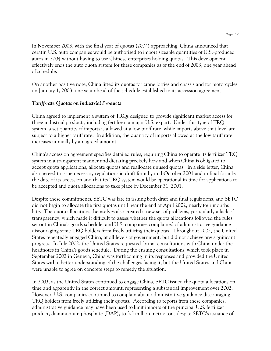In November 2003, with the final year of quotas (2004) approaching, China announced that ceratin U.S. auto companies would be authorized to import sizeable quantities of U.S.-produced autos in 2004 without having to use Chinese enterprises holding quotas. This development effectively ends the auto quota system for these companies as of the end of 2003, one year ahead of schedule.

On another positive note, China lifted its quotas for crane lorries and chassis and for motorcycles on January 1, 2003, one year ahead of the schedule established in its accession agreement.

# *Tariff-rate Quotas on Industrial Products*

China agreed to implement a system of TRQs designed to provide significant market access for three industrial products, including fertilizer, a major U.S. export. Under this type of TRQ system, a set quantity of imports is allowed at a low tariff rate, while imports above that level are subject to a higher tariff rate. In addition, the quantity of imports allowed at the low tariff rate increases annually by an agreed amount.

China's accession agreement specifies detailed rules, requiring China to operate its fertilizer TRQ system in a transparent manner and dictating precisely how and when China is obligated to accept quota applications, allocate quotas and reallocate unused quotas. In a side letter, China also agreed to issue necessary regulations in draft form by mid-October 2001 and in final form by the date of its accession and that its TRQ system would be operational in time for applications to be accepted and quota allocations to take place by December 31, 2001.

Despite these commitments, SETC was late in issuing both draft and final regulations, and SETC did not begin to allocate the first quotas until near the end of April 2002, nearly four months late. The quota allocations themselves also created a new set of problems, particularly a lack of transparency, which made it difficult to assess whether the quota allocations followed the rules set out in China's goods schedule, and U.S. companies complained of administrative guidance discouraging some TRQ holders from freely utilizing their quotas. Throughout 2002, the United States repeatedly engaged China, at all levels of government, but did not achieve any significant progress. In July 2002, the United States requested formal consultations with China under the headnotes in China's goods schedule. During the ensuing consultations, which took place in September 2002 in Geneva, China was forthcoming in its responses and provided the United States with a better understanding of the challenges facing it, but the United States and China were unable to agree on concrete steps to remedy the situation.

In 2003, as the United States continued to engage China, SETC issued the quota allocations on time and apparently in the correct amount, representing a substantial improvement over 2002. However, U.S. companies continued to complain about administrative guidance discouraging TRQ holders from freely utilizing their quotas. According to reports from these companies, administrative guidance may have been used to limit imports of the principal U.S. fertilizer product, diammonium phosphate (DAP), to 3.5 million metric tons despite SETC's issuance of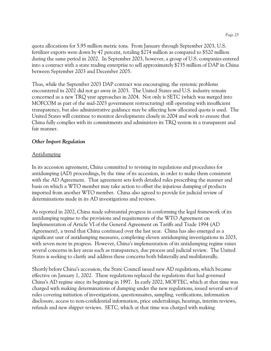quota allocations for 5.95 million metric tons. From January through September 2003, U.S. fertilizer exports were down by 47 percent, totaling \$274 million as compared to \$520 million during the same period in 2002. In September 2003, however, a group of U.S. companies entered into a contract with a state trading enterprise to sell approximately \$735 million of DAP in China between September 2003 and December 2005.

Thus, while the September 2003 DAP contract was encouraging, the systemic problems encountered in 2002 did not go away in 2003. The United States and U.S. industry remain concerned as a new TRQ year approaches in 2004. Not only is SETC (which was merged into MOFCOM as part of the mid-2003 government restructuring) still operating with insufficient transparency, but also administrative guidance may be affecting how allocated quota is used. The United States will continue to monitor developments closely in 2004 and work to ensure that China fully complies with its commitments and administers its TRQ system in a transparent and fair manner.

# *Other Import Regulation*

#### Antidumping

In its accession agreement, China committed to revising its regulations and procedures for antidumping (AD) proceedings, by the time of its accession, in order to make them consistent with the AD Agreement. That agreement sets forth detailed rules prescribing the manner and basis on which a WTO member may take action to offset the injurious dumping of products imported from another WTO member. China also agreed to provide for judicial review of determinations made in its AD investigations and reviews.

As reported in 2002, China made substantial progress in conforming the legal framework of its antidumping regime to the provisions and requirements of the WTO Agreement on Implementation of Article VI of the General Agreement on Tariffs and Trade 1994 (AD Agreement), a trend that China continued over the last year. China has also emerged as a significant user of antidumping measures, completing eleven antidumping investigations in 2003, with seven more in progress. However, China's implementation of its antidumping regime raises several concerns in key areas such as transparency, due process and judicial review. The United States is seeking to clarify and address these concerns both bilaterally and multilaterally.

Shortly before China's accession, the State Council issued new AD regulations, which became effective on January 1, 2002. These regulations replaced the regulations that had governed China's AD regime since its beginning in 1997. In early 2002, MOFTEC, which at that time was charged with making determinations of dumping under the new regulations, issued several sets of rules covering initiation of investigations, questionnaires, sampling, verifications, information disclosure, access to non-confidential information, price undertakings, hearings, interim reviews, refunds and new shipper reviews. SETC, which at that time was charged with making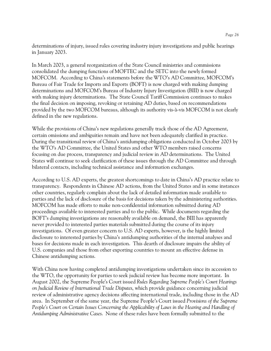determinations of injury, issued rules covering industry injury investigations and public hearings in January 2003.

In March 2003, a general reorganization of the State Council ministries and commissions consolidated the dumping functions of MOFTEC and the SETC into the newly formed MOFCOM. According to China's statements before the WTO's AD Committee, MOFCOM's Bureau of Fair Trade for Imports and Exports (BOFT) is now charged with making dumping determinations and MOFCOM's Bureau of Industry Injury Investigation (BIII) is now charged with making injury determinations. The State Council Tariff Commission continues to makes the final decision on imposing, revoking or retaining AD duties, based on recommendations provided by the two MOFCOM bureaus, although its authority vis-à-vis MOFCOM is not clearly defined in the new regulations.

While the provisions of China's new regulations generally track those of the AD Agreement, certain omissions and ambiguities remain and have not been adequately clarified in practice. During the transitional review of China's antidumping obligations conducted in October 2003 by the WTO's AD Committee, the United States and other WTO members raised concerns focusing on due process, transparency and judicial review in AD determinations. The United States will continue to seek clarification of these issues through the AD Committee and through bilateral contacts, including technical assistance and information exchanges.

According to U.S. AD experts, the greatest shortcomings to date in China's AD practice relate to transparency. Respondents in Chinese AD actions, from the United States and in some instances other countries, regularly complain about the lack of detailed information made available to parties and the lack of disclosure of the basis for decisions taken by the administering authorities. MOFCOM has made efforts to make non-confidential information submitted during AD proceedings available to interested parties and to the public. While documents regarding the BOFT's dumping investigations are reasonably available on demand, the BIII has apparently never provided to interested parties materials submitted during the course of its injury investigations. Of even greater concern to U.S. AD experts, however, is the highly limited disclosure to interested parties by China's antidumping authorities of the internal analyses and bases for decisions made in each investigation. This dearth of disclosure impairs the ability of U.S. companies and those from other exporting countries to mount an effective defense in Chinese antidumping actions.

With China now having completed antidumping investigations undertaken since its accession to the WTO, the opportunity for parties to seek judicial review has become more important. In August 2002, the Supreme People's Court issued *Rules Regarding Supreme People's Court Hearings on Judicial Review of International Trade Disputes*, which provide guidance concerning judicial review of administrative agency decisions affecting international trade, including those in the AD area. In September of the same year, the Supreme People's Court issued *Provisions of the Supreme People's Court on Certain Issues Concerning the Applicability of Laws in the Hearing and Handling of Antidumping Administrative Cases*. None of these rules have been formally submitted to the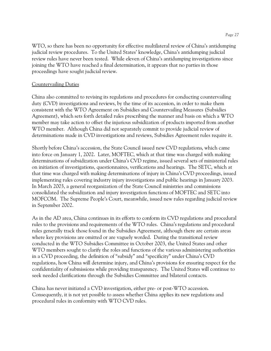WTO, so there has been no opportunity for effective multilateral review of China's antidumping judicial review procedures. To the United States' knowledge, China's antidumping judicial review rules have never been tested. While eleven of China's antidumping investigations since joining the WTO have reached a final determination, it appears that no parties in those proceedings have sought judicial review.

#### Countervailing Duties

China also committed to revising its regulations and procedures for conducting countervailing duty (CVD) investigations and reviews, by the time of its accession, in order to make them consistent with the WTO Agreement on Subsidies and Countervailing Measures (Subsidies Agreement), which sets forth detailed rules prescribing the manner and basis on which a WTO member may take action to offset the injurious subsidization of products imported from another WTO member. Although China did not separately commit to provide judicial review of determinations made in CVD investigations and reviews, Subsidies Agreement rules require it.

Shortly before China's accession, the State Council issued new CVD regulations, which came into force on January 1, 2002. Later, MOFTEC, which at that time was charged with making determinations of subsidization under China's CVD regime, issued several sets of ministerial rules on initiation of investigations, questionnaires, verifications and hearings. The SETC, which at that time was charged with making determinations of injury in China's CVD proceedings, issued implementing rules covering industry injury investigations and public hearings in January 2003. In March 2003, a general reorganization of the State Council ministries and commissions consolidated the subsidization and injury investigation functions of MOFTEC and SETC into MOFCOM. The Supreme People's Court, meanwhile, issued new rules regarding judicial review in September 2002.

As in the AD area, China continues in its efforts to conform its CVD regulations and procedural rules to the provisions and requirements of the WTO rules. China's regulations and procedural rules generally track those found in the Subsidies Agreement, although there are certain areas where key provisions are omitted or are vaguely worded. During the transitional review conducted in the WTO Subsidies Committee in October 2003, the United States and other WTO members sought to clarify the roles and functions of the various administering authorities in a CVD proceeding, the definition of "subsidy" and "specificity" under China's CVD regulations, how China will determine injury, and China's provisions for ensuring respect for the confidentiality of submissions while providing transparency. The United States will continue to seek needed clarifications through the Subsidies Committee and bilateral contacts.

China has never initiated a CVD investigation, either pre- or post-WTO accession. Consequently, it is not yet possible to assess whether China applies its new regulations and procedural rules in conformity with WTO CVD rules.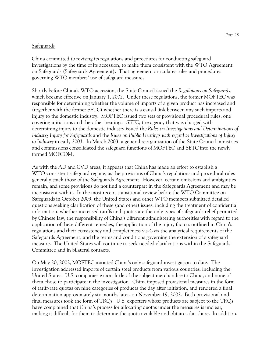#### Safeguards

China committed to revising its regulations and procedures for conducting safeguard investigations by the time of its accession, to make them consistent with the WTO Agreement on Safeguards (Safeguards Agreement). That agreement articulates rules and procedures governing WTO members' use of safeguard measures.

Shortly before China's WTO accession, the State Council issued the *Regulations on Safeguards*, which became effective on January 1, 2002. Under these regulations, the former MOFTEC was responsible for determining whether the volume of imports of a given product has increased and (together with the former SETC) whether there is a causal link between any such imports and injury to the domestic industry. MOFTEC issued two sets of provisional procedural rules, one covering initiations and the other hearings. SETC, the agency that was charged with determining injury to the domestic industry issued the *Rules on Investigations and Determinations of Industry Injury for Safeguards* and the *Rules on Public Hearings with regard to Investigations of Injury to Industry* in early 2003. In March 2003, a general reorganization of the State Council ministries and commissions consolidated the safeguard functions of MOFTEC and SETC into the newly formed MOFCOM.

As with the AD and CVD areas, it appears that China has made an effort to establish a WTO-consistent safeguard regime, as the provisions of China's regulations and procedural rules generally track those of the Safeguards Agreement. However, certain omissions and ambiguities remain, and some provisions do not find a counterpart in the Safeguards Agreement and may be inconsistent with it. In the most recent transitional review before the WTO Committee on Safeguards in October 2003, the United States and other WTO members submitted detailed questions seeking clarification of these (and other) issues, including the treatment of confidential information, whether increased tariffs and quotas are the only types of safeguards relief permitted by Chinese law, the responsibility of China's different administering authorities with regard to the application of these different remedies, the application of the injury factors outlined in China's regulations and their consistency and completeness vis-à-vis the analytical requirements of the Safeguards Agreement, and the terms and conditions governing the extension of a safeguard measure. The United States will continue to seek needed clarifications within the Safeguards Committee and in bilateral contacts.

On May 20, 2002, MOFTEC initiated China's only safeguard investigation to date. The investigation addressed imports of certain steel products from various countries, including the United States. U.S. companies export little of the subject merchandise to China, and none of them chose to participate in the investigation. China imposed provisional measures in the form of tariff-rate quotas on nine categories of products the day after initiation, and rendered a final determination approximately six months later, on November 19, 2002. Both provisional and final measures took the form of TRQs. U.S. exporters whose products are subject to the TRQs have complained that China's process for allocating quotas under the measures is unclear, making it difficult for them to determine the quota available and obtain a fair share. In addition,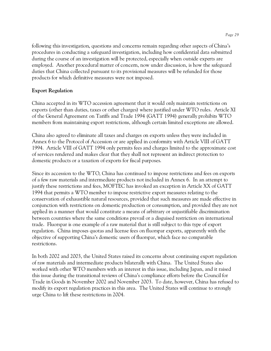following this investigation, questions and concerns remain regarding other aspects of China's procedures in conducting a safeguard investigation, including how confidential data submitted during the course of an investigation will be protected, especially when outside experts are employed. Another procedural matter of concern, now under discussion, is how the safeguard duties that China collected pursuant to its provisional measures will be refunded for those products for which definitive measures were not imposed.

# **Export Regulation**

China accepted in its WTO accession agreement that it would only maintain restrictions on exports (other than duties, taxes or other charges) where justified under WTO rules. Article XI of the General Agreement on Tariffs and Trade 1994 (GATT 1994) generally prohibits WTO members from maintaining export restrictions, although certain limited exceptions are allowed.

China also agreed to eliminate all taxes and charges on exports unless they were included in Annex 6 to the Protocol of Accession or are applied in conformity with Article VIII of GATT 1994. Article VIII of GATT 1994 only permits fees and charges limited to the approximate cost of services rendered and makes clear that they shall not represent an indirect protection to domestic products or a taxation of exports for fiscal purposes.

Since its accession to the WTO, China has continued to impose restrictions and fees on exports of a few raw materials and intermediate products not included in Annex 6. In an attempt to justify these restrictions and fees, MOFTEC has invoked an exception in Article XX of GATT 1994 that permits a WTO member to impose restrictive export measures relating to the conservation of exhaustible natural resources, provided that such measures are made effective in conjunction with restrictions on domestic production or consumption, and provided they are not applied in a manner that would constitute a means of arbitrary or unjustifiable discrimination between countries where the same conditions prevail or a disguised restriction on international trade. Fluorspar is one example of a raw material that is still subject to this type of export regulation. China imposes quotas and license fees on fluorspar exports, apparently with the objective of supporting China's domestic users of fluorspar, which face no comparable restrictions.

In both 2002 and 2003, the United States raised its concerns about continuing export regulation of raw materials and intermediate products bilaterally with China. The United States also worked with other WTO members with an interest in this issue, including Japan, and it raised this issue during the transitional reviews of China's compliance efforts before the Council for Trade in Goods in November 2002 and November 2003. To date, however, China has refused to modify its export regulation practices in this area. The United States will continue to strongly urge China to lift these restrictions in 2004.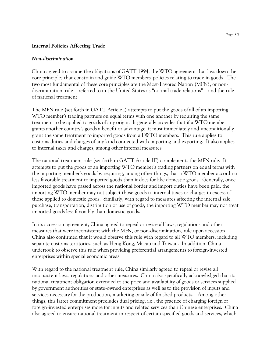# **Internal Policies Affecting Trade**

## *Non-discrimination*

China agreed to assume the obligations of GATT 1994, the WTO agreement that lays down the core principles that constrain and guide WTO members' policies relating to trade in goods. The two most fundamental of these core principles are the Most-Favored Nation (MFN), or nondiscrimination, rule – referred to in the United States as "normal trade relations" – and the rule of national treatment.

The MFN rule (set forth in GATT Article I) attempts to put the goods of all of an importing WTO member's trading partners on equal terms with one another by requiring the same treatment to be applied to goods of any origin. It generally provides that if a WTO member grants another country's goods a benefit or advantage, it must immediately and unconditionally grant the same treatment to imported goods from all WTO members. This rule applies to customs duties and charges of any kind connected with importing and exporting. It also applies to internal taxes and charges, among other internal measures.

The national treatment rule (set forth in GATT Article III) complements the MFN rule. It attempts to put the goods of an importing WTO member's trading partners on equal terms with the importing member's goods by requiring, among other things, that a WTO member accord no less favorable treatment to imported goods than it does for like domestic goods. Generally, once imported goods have passed across the national border and import duties have been paid, the importing WTO member may not subject those goods to internal taxes or charges in excess of those applied to domestic goods. Similarly, with regard to measures affecting the internal sale, purchase, transportation, distribution or use of goods, the importing WTO member may not treat imported goods less favorably than domestic goods.

In its accession agreement, China agreed to repeal or revise all laws, regulations and other measures that were inconsistent with the MFN, or non-discrimination, rule upon accession. China also confirmed that it would observe this rule with regard to all WTO members, including separate customs territories, such as Hong Kong, Macau and Taiwan. In addition, China undertook to observe this rule when providing preferential arrangements to foreign-invested enterprises within special economic areas.

With regard to the national treatment rule, China similarly agreed to repeal or revise all inconsistent laws, regulations and other measures. China also specifically acknowledged that its national treatment obligation extended to the price and availability of goods or services supplied by government authorities or state-owned enterprises as well as to the provision of inputs and services necessary for the production, marketing or sale of finished products. Among other things, this latter commitment precludes dual pricing, i.e., the practice of charging foreign or foreign-invested enterprises more for inputs and related services than Chinese enterprises. China also agreed to ensure national treatment in respect of certain specified goods and services, which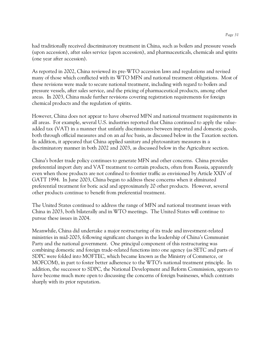had traditionally received discriminatory treatment in China, such as boilers and pressure vessels (upon accession), after sales service (upon accession), and pharmaceuticals, chemicals and spirits (one year after accession).

As reported in 2002, China reviewed its pre-WTO accession laws and regulations and revised many of those which conflicted with its WTO MFN and national treatment obligations. Most of these revisions were made to secure national treatment, including with regard to boilers and pressure vessels, after sales service, and the pricing of pharmaceutical products, among other areas. In 2003, China made further revisions covering registration requirements for foreign chemical products and the regulation of spirits.

However, China does not appear to have observed MFN and national treatment requirements in all areas. For example, several U.S. industries reported that China continued to apply the valueadded tax (VAT) in a manner that unfairly discriminates between imported and domestic goods, both through official measures and on an *ad hoc* basis, as discussed below in the Taxation section. In addition, it appeared that China applied sanitary and phytosanitary measures in a discriminatory manner in both 2002 and 2003, as discussed below in the Agriculture section.

China's border trade policy continues to generate MFN and other concerns. China provides preferential import duty and VAT treatment to certain products, often from Russia, apparently even when those products are not confined to frontier traffic as envisioned by Article XXIV of GATT 1994. In June 2003, China began to address these concerns when it eliminated preferential treatment for boric acid and approximately 20 other products. However, several other products continue to benefit from preferential treatment.

The United States continued to address the range of MFN and national treatment issues with China in 2003, both bilaterally and in WTO meetings. The United States will continue to pursue these issues in 2004.

Meanwhile, China did undertake a major restructuring of its trade and investment-related ministries in mid-2003, following significant changes in the leadership of China's Communist Party and the national government. One principal component of this restructuring was combining domestic and foreign trade-related functions into one agency (as SETC and parts of SDPC were folded into MOFTEC, which became known as the Ministry of Commerce, or MOFCOM), in part to foster better adherence to the WTO's national treatment principle. In addition, the successor to SDPC, the National Development and Reform Commission, appears to have become much more open to discussing the concerns of foreign businesses, which contrasts sharply with its prior reputation.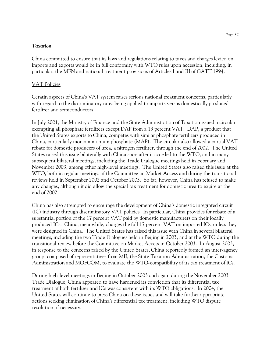#### *Taxation*

China committed to ensure that its laws and regulations relating to taxes and charges levied on imports and exports would be in full conformity with WTO rules upon accession, including, in particular, the MFN and national treatment provisions of Articles I and III of GATT 1994.

## VAT Policies

Ceratin aspects of China's VAT system raises serious national treatment concerns, particularly with regard to the discriminatory rates being applied to imports versus domestically produced fertilizer and semiconductors.

In July 2001, the Ministry of Finance and the State Administration of Taxation issued a circular exempting all phosphate fertilizers except DAP from a 13 percent VAT. DAP, a product that the United States exports to China, competes with similar phosphate fertilizers produced in China, particularly monoammonium phosphate (MAP). The circular also allowed a partial VAT rebate for domestic producers of urea, a nitrogen fertilizer, through the end of 2002. The United States raised this issue bilaterally with China soon after it acceded to the WTO, and in many subsequent bilateral meetings, including the Trade Dialogue meetings held in February and November 2003, among other high-level meetings. The United States also raised this issue at the WTO, both in regular meetings of the Committee on Market Access and during the transitional reviews held in September 2002 and October 2003. So far, however, China has refused to make any changes, although it did allow the special tax treatment for domestic urea to expire at the end of 2002.

China has also attempted to encourage the development of China's domestic integrated circuit (IC) industry through discriminatory VAT policies. In particular, China provides for rebate of a substantial portion of the 17 percent VAT paid by domestic manufacturers on their locally produced ICs. China, meanwhile, charges the full 17 percent VAT on imported ICs, unless they were designed in China. The United States has raised this issue with China in several bilateral meetings, including the two Trade Dialogues held in Beijing in 2003, and at the WTO during the transitional review before the Committee on Market Access in October 2003. In August 2003, in response to the concerns raised by the United States, China reportedly formed an inter-agency group, composed of representatives from MII, the State Taxation Administration, the Customs Administration and MOFCOM, to evaluate the WTO-compatibility of its tax treatment of ICs.

During high-level meetings in Beijing in October 2003 and again during the November 2003 Trade Dialogue, China appeared to have hardened its conviction that its differential tax treatment of both fertilizer and ICs was consistent with its WTO obligations. In 2004, the United States will continue to press China on these issues and will take further appropriate actions seeking elimination of China's differential tax treatment, including WTO dispute resolution, if necessary.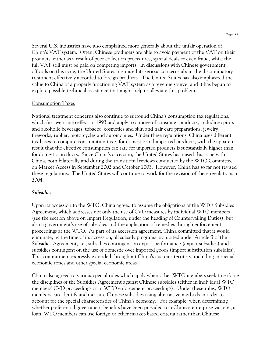Several U.S. industries have also complained more generally about the unfair operation of China's VAT system. Often, Chinese producers are able to avoid payment of the VAT on their products, either as a result of poor collection procedures, special deals or even fraud, while the full VAT still must be paid on competing imports. In discussions with Chinese government officials on this issue, the United States has raised its serious concerns about the discriminatory treatment effectively accorded to foreign products. The United States has also emphasized the value to China of a properly functioning VAT system as a revenue source, and it has begun to explore possible technical assistance that might help to alleviate this problem.

#### Consumption Taxes

National treatment concerns also continue to surround China's consumption tax regulations, which first went into effect in 1993 and apply to a range of consumer products, including spirits and alcoholic beverages, tobacco, cosmetics and skin and hair care preparations, jewelry, fireworks, rubber, motorcycles and automobiles. Under these regulations, China uses different tax bases to compute consumption taxes for domestic and imported products, with the apparent result that the effective consumption tax rate for imported products is substantially higher than for domestic products. Since China's accession, the United States has raised this issue with China, both bilaterally and during the transitional reviews conducted by the WTO Committee on Market Access in September 2002 and October 2003. However, China has so far not revised these regulations. The United States will continue to work for the revision of these regulations in 2004.

#### *Subsidies*

Upon its accession to the WTO, China agreed to assume the obligations of the WTO Subsidies Agreement, which addresses not only the use of CVD measures by individual WTO members (see the section above on Import Regulation, under the heading of Countervailing Duties), but also a government's use of subsidies and the application of remedies through enforcement proceedings at the WTO. As part of its accession agreement, China committed that it would eliminate, by the time of its accession, all subsidy programs prohibited under Article 3 of the Subsidies Agreement, i.e., subsidies contingent on export performance (export subsidies) and subsidies contingent on the use of domestic over imported goods (import substitution subsidies). This commitment expressly extended throughout China's customs territory, including in special economic zones and other special economic areas.

China also agreed to various special rules which apply when other WTO members seek to enforce the disciplines of the Subsidies Agreement against Chinese subsidies (either in individual WTO members' CVD proceedings or in WTO enforcement proceedings). Under these rules, WTO members can identify and measure Chinese subsidies using alternative methods in order to account for the special characteristics of China's economy. For example, when determining whether preferential government benefits have been provided to a Chinese enterprise via, e.g., a loan, WTO members can use foreign or other market-based criteria rather than Chinese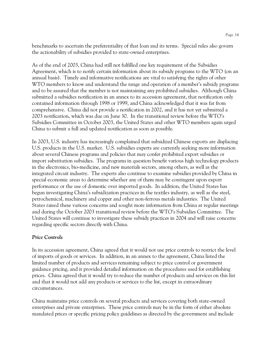benchmarks to ascertain the preferentiality of that loan and its terms. Special rules also govern the actionability of subsidies provided to state-owned enterprises.

As of the end of 2003, China had still not fulfilled one key requirement of the Subsidies Agreement, which is to notify certain information about its subsidy programs to the WTO (on an annual basis). Timely and informative notifications are vital to satisfying the rights of other WTO members to know and understand the range and operation of a member's subsidy programs and to be assured that the member is not maintaining any prohibited subsidies. Although China submitted a subsidies notification in an annex to its accession agreement, that notification only contained information through 1998 or 1999, and China acknowledged that it was far from comprehensive. China did not provide a notification in 2002, and it has not yet submitted a 2003 notification, which was due on June 30. In the transitional review before the WTO's Subsidies Committee in October 2003, the United States and other WTO members again urged China to submit a full and updated notification as soon as possible.

In 2003, U.S. industry has increasingly complained that subsidized Chinese exports are displacing U.S. products in the U.S. market. U.S. subsidies experts are currently seeking more information about several Chinese programs and policies that may confer prohibited export subsidies or import substitution subsidies. The programs in question benefit various high technology products in the electronics, bio-medicine, and new materials sectors, among others, as well as the integrated circuit industry. The experts also continue to examine subsidies provided by China in special economic areas to determine whether any of them may be contingent upon export performance or the use of domestic over imported goods. In addition, the United States has begun investigating China's subsidization practices in the textiles industry, as well as the steel, petrochemical, machinery and copper and other non-ferrous metals industries. The United States raised these various concerns and sought more information from China at regular meetings and during the October 2003 transitional review before the WTO's Subsidies Committee. The United States will continue to investigate these subsidy practices in 2004 and will raise concerns regarding specific sectors directly with China.

### *Price Controls*

In its accession agreement, China agreed that it would not use price controls to restrict the level of imports of goods or services. In addition, in an annex to the agreement, China listed the limited number of products and services remaining subject to price control or government guidance pricing, and it provided detailed information on the procedures used for establishing prices. China agreed that it would try to reduce the number of products and services on this list and that it would not add any products or services to the list, except in extraordinary circumstances.

China maintains price controls on several products and services covering both state-owned enterprises and private enterprises. These price controls may be in the form of either absolute mandated prices or specific pricing policy guidelines as directed by the government and include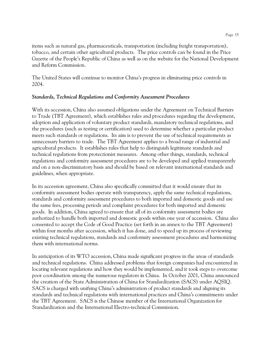items such as natural gas, pharmaceuticals, transportation (including freight transportation), tobacco, and certain other agricultural products. The price controls can be found in the Price Gazette of the People's Republic of China as well as on the website for the National Development and Reform Commission.

The United States will continue to monitor China's progress in eliminating price controls in 2004.

### *Standards, Technical Regulations and Conformity Assessment Procedures*

With its accession, China also assumed obligations under the Agreement on Technical Barriers to Trade (TBT Agreement), which establishes rules and procedures regarding the development, adoption and application of voluntary product standards, mandatory technical regulations, and the procedures (such as testing or certification) used to determine whether a particular product meets such standards or regulations. Its aim is to prevent the use of technical requirements as unnecessary barriers to trade. The TBT Agreement applies to a broad range of industrial and agricultural products. It establishes rules that help to distinguish legitimate standards and technical regulations from protectionist measures. Among other things, standards, technical regulations and conformity assessment procedures are to be developed and applied transparently and on a non-discriminatory basis and should be based on relevant international standards and guidelines, when appropriate.

In its accession agreement, China also specifically committed that it would ensure that its conformity assessment bodies operate with transparency, apply the same technical regulations, standards and conformity assessment procedures to both imported and domestic goods and use the same fees, processing periods and complaint procedures for both imported and domestic goods. In addition, China agreed to ensure that all of its conformity assessment bodies are authorized to handle both imported and domestic goods within one year of accession. China also consented to accept the Code of Good Practice (set forth in an annex to the TBT Agreement) within four months after accession, which it has done, and to speed up its process of reviewing existing technical regulations, standards and conformity assessment procedures and harmonizing them with international norms.

In anticipation of its WTO accession, China made significant progress in the areas of standards and technical regulations. China addressed problems that foreign companies had encountered in locating relevant regulations and how they would be implemented, and it took steps to overcome poor coordination among the numerous regulators in China. In October 2001, China announced the creation of the State Administration of China for Standardization (SACS) under AQSIQ. SACS is charged with unifying China's administration of product standards and aligning its standards and technical regulations with international practices and China's commitments under the TBT Agreement. SACS is the Chinese member of the International Organization for Standardization and the International Electro-technical Commission.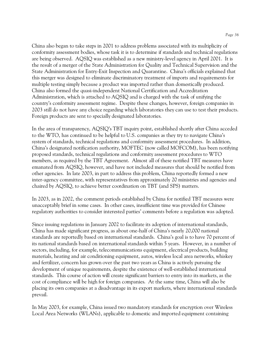China also began to take steps in 2001 to address problems associated with its multiplicity of conformity assessment bodies, whose task it is to determine if standards and technical regulations are being observed. AQSIQ was established as a new ministry-level agency in April 2001. It is the result of a merger of the State Administration for Quality and Technical Supervision and the State Administration for Entry-Exit Inspection and Quarantine. China's officials explained that this merger was designed to eliminate discriminatory treatment of imports and requirements for multiple testing simply because a product was imported rather than domestically produced. China also formed the quasi-independent National Certification and Accreditation Administration, which is attached to AQSIQ and is charged with the task of unifying the country's conformity assessment regime. Despite these changes, however, foreign companies in 2003 still do not have any choice regarding which laboratories they can use to test their products. Foreign products are sent to specially designated laboratories.

In the area of transparency, AQSIQ's TBT inquiry point, established shortly after China acceded to the WTO, has continued to be helpful to U.S. companies as they try to navigate China's system of standards, technical regulations and conformity assessment procedures. In addition, China's designated notification authority, MOFTEC (now called MOFCOM), has been notifying proposed standards, technical regulations and conformity assessment procedures to WTO members, as required by the TBT Agreement. Almost all of these notified TBT measures have emanated from AQSIQ, however, and have not included measures that should be notified from other agencies. In late 2003, in part to address this problem, China reportedly formed a new inter-agency committee, with representatives from approximately 20 ministries and agencies and chaired by AQSIQ, to achieve better coordination on TBT (and SPS) matters.

In 2003, as in 2002, the comment periods established by China for notified TBT measures were unacceptably brief in some cases. In other cases, insufficient time was provided for Chinese regulatory authorities to consider interested parties' comments before a regulation was adopted.

Since issuing regulations in January 2002 to facilitate its adoption of international standards, China has made significant progress, as about one-half of China's nearly 20,000 national standards are reportedly based on international standards. China's goal is to have 70 percent of its national standards based on international standards within 5 years. However, in a number of sectors, including, for example, telecommunications equipment, electrical products, building materials, heating and air conditioning equipment, autos, wireless local area networks, whiskey and fertilizer, concern has grown over the past two years as China is actively pursuing the development of unique requirements, despite the existence of well-established international standards. This course of action will create significant barriers to entry into its markets, as the cost of compliance will be high for foreign companies. At the same time, China will also be placing its own companies at a disadvantage in its export markets, where international standards prevail.

In May 2003, for example, China issued two mandatory standards for encryption over Wireless Local Area Networks (WLANs), applicable to domestic and imported equipment containing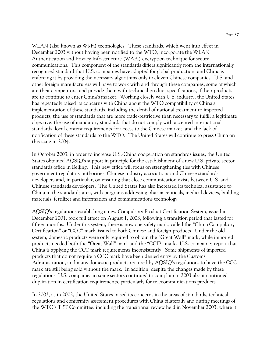WLAN (also known as Wi-Fi) technologies. These standards, which went into effect in December 2003 without having been notified to the WTO, incorporate the WLAN Authentication and Privacy Infrastructure (WAPI) encryption technique for secure communications. This component of the standards differs significantly from the internationally recognized standard that U.S. companies have adopted for global production, and China is enforcing it by providing the necessary algorithms only to eleven Chinese companies. U.S. and other foreign manufacturers will have to work with and through these companies, some of which are their competitors, and provide them with technical product specifications, if their products are to continue to enter China's market. Working closely with U.S. industry, the United States has repeatedly raised its concerns with China about the WTO compatibility of China's implementation of these standards, including the denial of national treatment to imported products, the use of standards that are more trade-restrictive than necessary to fulfill a legitimate objective, the use of mandatory standards that do not comply with accepted international standards, local content requirements for access to the Chinese market, and the lack of notification of these standards to the WTO. The United States will continue to press China on this issue in 2004.

In October 2003, in order to increase U.S.-China cooperation on standards issues, the United States obtained AQSIQ's support in principle for the establishment of a new U.S. private sector standards office in Beijing. This new office will focus on strengthening ties with Chinese government regulatory authorities, Chinese industry associations and Chinese standards developers and, in particular, on ensuring that close communication exists between U.S. and Chinese standards developers. The United States has also increased its technical assistance to China in the standards area, with programs addressing pharmaceuticals, medical devices, building materials, fertilizer and information and communications technology.

AQSIQ's regulations establishing a new Compulsory Product Certification System, issued in December 2001, took full effect on August 1, 2003, following a transition period that lasted for fifteen months. Under this system, there is now one safety mark, called the "China Compulsory Certification" or "CCC" mark, issued to both Chinese and foreign products. Under the old system, domestic products were only required to obtain the "Great Wall" mark, while imported products needed both the "Great Wall" mark and the "CCIB" mark. U.S. companies report that China is applying the CCC mark requirements inconsistently. Some shipments of imported products that do not require a CCC mark have been denied entry by the Customs Administration, and many domestic products required by AQSIQ's regulations to have the CCC mark are still being sold without the mark. In addition, despite the changes made by these regulations, U.S. companies in some sectors continued to complain in 2003 about continued duplication in certification requirements, particularly for telecommunications products.

In 2003, as in 2002, the United States raised its concerns in the areas of standards, technical regulations and conformity assessment procedures with China bilaterally and during meetings of the WTO's TBT Committee, including the transitional review held in November 2003, where it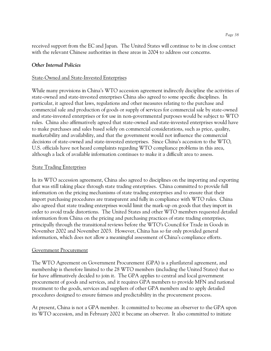# *Other Internal Policies*

## State-Owned and State-Invested Enterprises

While many provisions in China's WTO accession agreement indirectly discipline the activities of state-owned and state-invested enterprises China also agreed to some specific disciplines. In particular, it agreed that laws, regulations and other measures relating to the purchase and commercial sale and production of goods or supply of services for commercial sale by state-owned and state-invested enterprises or for use in non-governmental purposes would be subject to WTO rules. China also affirmatively agreed that state-owned and state-invested enterprises would have to make purchases and sales based solely on commercial considerations, such as price, quality, marketability and availability, and that the government would not influence the commercial decisions of state-owned and state-invested enterprises. Since China's accession to the WTO, U.S. officials have not heard complaints regarding WTO compliance problems in this area, although a lack of available information continues to make it a difficult area to assess.

# **State Trading Enterprises**

In its WTO accession agreement, China also agreed to disciplines on the importing and exporting that was still taking place through state trading enterprises. China committed to provide full information on the pricing mechanisms of state trading enterprises and to ensure that their import purchasing procedures are transparent and fully in compliance with WTO rules. China also agreed that state trading enterprises would limit the mark-up on goods that they import in order to avoid trade distortions. The United States and other WTO members requested detailed information from China on the pricing and purchasing practices of state trading enterprises, principally through the transitional reviews before the WTO's Council for Trade in Goods in November 2002 and November 2003. However, China has so far only provided general information, which does not allow a meaningful assessment of China's compliance efforts.

### Government Procurement

The WTO Agreement on Government Procurement (GPA) is a plurilateral agreement, and membership is therefore limited to the 28 WTO members (including the United States) that so far have affirmatively decided to join it. The GPA applies to central and local government procurement of goods and services, and it requires GPA members to provide MFN and national treatment to the goods, services and suppliers of other GPA members and to apply detailed procedures designed to ensure fairness and predictability in the procurement process.

At present, China is not a GPA member. It committed to become an observer to the GPA upon its WTO accession, and in February 2002 it became an observer. It also committed to initiate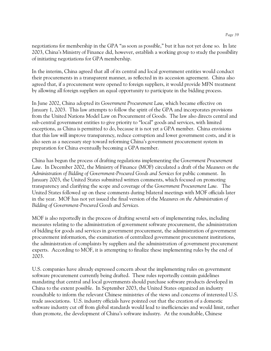negotiations for membership in the GPA "as soon as possible," but it has not yet done so. In late 2003, China's Ministry of Finance did, however, establish a working group to study the possibility of initiating negotiations for GPA membership.

In the interim, China agreed that all of its central and local government entities would conduct their procurements in a transparent manner, as reflected in its accession agreement. China also agreed that, if a procurement were opened to foreign suppliers, it would provide MFN treatment by allowing all foreign suppliers an equal opportunity to participate in the bidding process.

In June 2002, China adopted its *Government Procurement Law*, which became effective on January 1, 2003. This law attempts to follow the spirit of the GPA and incorporates provisions from the United Nations Model Law on Procurement of Goods. The law also directs central and sub-central government entities to give priority to "local" goods and services, with limited exceptions, as China is permitted to do, because it is not yet a GPA member. China envisions that this law will improve transparency, reduce corruption and lower government costs, and it is also seen as a necessary step toward reforming China's government procurement system in preparation for China eventually becoming a GPA member.

China has begun the process of drafting regulations implementing the *Government Procurement Law*. In December 2002, the Ministry of Finance (MOF) circulated a draft of the *Measures on the Administration of Bidding of Government-Procured Goods and Services* for public comment. In January 2003, the United States submitted written comments, which focused on promoting transparency and clarifying the scope and coverage of the *Government Procurement Law*. The United States followed up on these comments during bilateral meetings with MOF officials later in the year. MOF has not yet issued the final version of the *Measures on the Administration of Bidding of Government-Procured Goods and Services.* 

MOF is also reportedly in the process of drafting several sets of implementing rules, including measures relating to the administration of government software procurement, the administration of bidding for goods and services in government procurement, the administration of government procurement information, the examination of centralized government procurement institutions, the administration of complaints by suppliers and the administration of government procurement experts. According to MOF, it is attempting to finalize these implementing rules by the end of 2003.

U.S. companies have already expressed concern about the implementing rules on government software procurement currently being drafted. These rules reportedly contain guidelines mandating that central and local governments should purchase software products developed in China to the extent possible. In September 2003, the United States organized an industry roundtable to inform the relevant Chinese ministries of the views and concerns of interested U.S. trade associations. U.S. industry officials have pointed out that the creation of a domestic software industry cut off from global standards would lead to inefficiencies and would limit, rather than promote, the development of China's software industry. At the roundtable, Chinese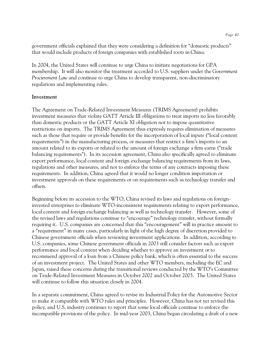government officials explained that they were considering a definition for "domestic products" that would include products of foreign companies with established roots in China.

In 2004, the United States will continue to urge China to initiate negotiations for GPA membership. It will also monitor the treatment accorded to U.S. suppliers under the *Government Procurement Law* and continue to urge China to develop transparent, non-discriminatory regulations and implementing rules.

#### **Investment**

The Agreement on Trade-Related Investment Measures (TRIMS Agreement) prohibits investment measures that violate GATT Article III obligations to treat imports no less favorably than domestic products or the GATT Article XI obligation not to impose quantitative restrictions on imports. The TRIMS Agreement thus expressly requires elimination of measures such as those that require or provide benefits for the incorporation of local inputs ("local content requirements") in the manufacturing process, or measures that restrict a firm's imports to an amount related to its exports or related to the amount of foreign exchange a firm earns ("trade balancing requirements"). In its accession agreement, China also specifically agreed to eliminate export performance, local content and foreign exchange balancing requirements from its laws, regulations and other measures, and not to enforce the terms of any contracts imposing these requirements. In addition, China agreed that it would no longer condition importation or investment approvals on these requirements or on requirements such as technology transfer and offsets.

Beginning before its accession to the WTO, China revised its laws and regulations on foreigninvested enterprises to eliminate WTO-inconsistent requirements relating to export performance, local content and foreign exchange balancing as well as technology transfer. However, some of the revised laws and regulations continue to "encourage" technology transfer, without formally requiring it. U.S. companies are concerned that this "encouragement" will in practice amount to a "requirement" in many cases, particularly in light of the high degree of discretion provided to Chinese government officials when reviewing investment applications. In addition, according to U.S. companies, some Chinese government officials in 2003 still consider factors such as export performance and local content when deciding whether to approve an investment or to recommend approval of a loan from a Chinese policy bank, which is often essential to the success of an investment project. The United States and other WTO members, including the EC and Japan, raised these concerns during the transitional reviews conducted by the WTO's Committee on Trade-Related Investment Measures in October 2002 and October 2003. The United States will continue to follow this situation closely in 2004.

In a separate commitment, China agreed to revise its Industrial Policy for the Automotive Sector to make it compatible with WTO rules and principles. However, China has not yet revised this policy, and U.S. industry continues to report that some local officials continue to enforce the incompatible provisions of the policy. In mid-year 2003, China began circulating a draft of a new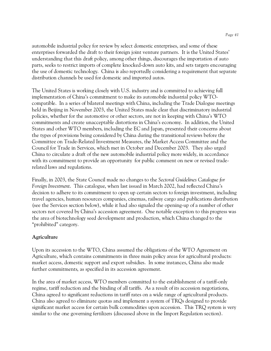automobile industrial policy for review by select domestic enterprises, and some of these enterprises forwarded the draft to their foreign joint venture partners. It is the United States' understanding that this draft policy, among other things, discourages the importation of auto parts, seeks to restrict imports of complete knocked-down auto kits, and sets targets encouraging the use of domestic technology. China is also reportedly considering a requirement that separate distribution channels be used for domestic and imported autos.

The United States is working closely with U.S. industry and is committed to achieving full implementation of China's commitment to make its automobile industrial policy WTOcompatible. In a series of bilateral meetings with China, including the Trade Dialogue meetings held in Beijing in November 2003, the United States made clear that discriminatory industrial policies, whether for the automotive or other sectors, are not in keeping with China's WTO commitments and create unacceptable distortions in China's economy. In addition, the United States and other WTO members, including the EC and Japan, presented their concerns about the types of provisions being considered by China during the transitional reviews before the Committee on Trade-Related Investment Measures, the Market Access Committee and the Council for Trade in Services, which met in October and December 2003. They also urged China to circulate a draft of the new automobile industrial policy more widely, in accordance with its commitment to provide an opportunity for public comment on new or revised traderelated laws and regulations.

Finally, in 2003, the State Council made no changes to the *Sectoral Guidelines Catalogue for Foreign Investment*. This catalogue, when last issued in March 2002, had reflected China's decision to adhere to its commitment to open up certain sectors to foreign investment, including travel agencies, human resources companies, cinemas, railway cargo and publications distribution (see the Services section below), while it had also signaled the opening-up of a number of other sectors not covered by China's accession agreement. One notable exception to this progress was the area of biotechnology seed development and production, which China changed to the "prohibited" category.

### **Agriculture**

Upon its accession to the WTO, China assumed the obligations of the WTO Agreement on Agriculture, which contains commitments in three main policy areas for agricultural products: market access, domestic support and export subsidies. In some instances, China also made further commitments, as specified in its accession agreement.

In the area of market access, WTO members committed to the establishment of a tariff-only regime, tariff reduction and the binding of all tariffs. As a result of its accession negotiations, China agreed to significant reductions in tariff rates on a wide range of agricultural products. China also agreed to eliminate quotas and implement a system of TRQs designed to provide significant market access for certain bulk commodities upon accession. This TRQ system is very similar to the one governing fertilizers (discussed above in the Import Regulation section).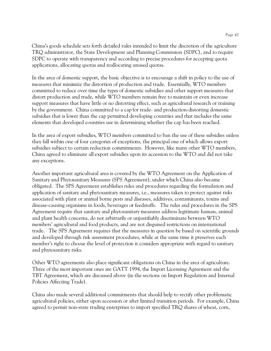China's goods schedule sets forth detailed rules intended to limit the discretion of the agriculture TRQ administrator, the State Development and Planning Commission (SDPC), and to require SDPC to operate with transparency and according to precise procedures for accepting quota applications, allocating quotas and reallocating unused quotas.

In the area of domestic support, the basic objective is to encourage a shift in policy to the use of measures that minimize the distortion of production and trade. Essentially, WTO members committed to reduce over time the types of domestic subsidies and other support measures that distort production and trade, while WTO members remain free to maintain or even increase support measures that have little or no distorting effect, such as agricultural research or training by the government. China committed to a cap for trade- and production-distorting domestic subsidies that is lower than the cap permitted developing countries and that includes the same elements that developed countries use in determining whether the cap has been reached.

In the area of export subsidies, WTO members committed to ban the use of these subsidies unless they fall within one of four categories of exceptions, the principal one of which allows export subsidies subject to certain reduction commitments. However, like many other WTO members, China agreed to eliminate all export subsidies upon its accession to the WTO and did not take any exceptions.

Another important agricultural area is covered by the WTO Agreement on the Application of Sanitary and Phytosanitary Measures (SPS Agreement), under which China also became obligated. The SPS Agreement establishes rules and procedures regarding the formulation and application of sanitary and phytosanitary measures, i.e., measures taken to protect against risks associated with plant or animal borne pests and diseases, additives, contaminants, toxins and disease-causing organisms in foods, beverages or feedstuffs. The rules and procedures in the SPS Agreement require that sanitary and phytosanitary measures address legitimate human, animal and plant health concerns, do not arbitrarily or unjustifiably discriminate between WTO members' agricultural and food products, and are not disguised restrictions on international trade. The SPS Agreement requires that the measures in question be based on scientific grounds and developed through risk assessment procedures, while at the same time it preserves each member's right to choose the level of protection it considers appropriate with regard to sanitary and phytosanitary risks.

Other WTO agreements also place significant obligations on China in the area of agriculture. Three of the most important ones are GATT 1994, the Import Licensing Agreement and the TBT Agreement, which are discussed above (in the sections on Import Regulation and Internal Policies Affecting Trade).

China also made several additional commitments that should help to rectify other problematic agricultural policies, either upon accession or after limited transition periods. For example, China agreed to permit non-state trading enterprises to import specified TRQ shares of wheat, corn,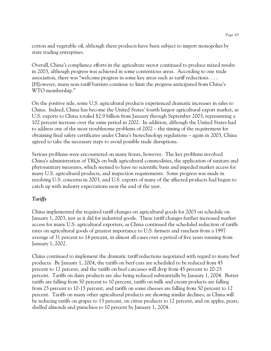cotton and vegetable oil, although these products have been subject to import monopolies by state trading enterprises.

Overall, China's compliance efforts in the agriculture sector continued to produce mixed results in 2003, although progress was achieved in some contentious areas. According to one trade association, there was "welcome progress in some key areas such as tariff reductions. . . . [H]owever, many non-tariff barriers continue to limit the progress anticipated from China's WTO membership."

On the positive side, some U.S. agricultural products experienced dramatic increases in sales to China. Indeed, China has become the United States' fourth largest agricultural export market, as U.S. exports to China totaled \$2.9 billion from January through September 2003, representing a 102 percent increase over the same period in 2002. In addition, although the United States had to address one of the most troublesome problems of 2002 – the timing of the requirement for obtaining final safety certificates under China's biotechnology regulations – again in 2003, China agreed to take the necessary steps to avoid possible trade disruptions.

Serious problems were encountered on many fronts, however. The key problems involved China's administration of TRQs on bulk agricultural commodities, the application of sanitary and phytosanitary measures, which seemed to have no scientific basis and impeded market access for many U.S. agricultural products, and inspection requirements. Some progress was made in resolving U.S. concerns in 2003, and U.S. exports of many of the affected products had begun to catch up with industry expectations near the end of the year.

# *Tariffs*

China implemented the required tariff changes on agricultural goods for 2003 on schedule on January 1, 2003, just as it did for industrial goods. These tariff changes further increased market access for many U.S. agricultural exporters, as China continued the scheduled reduction of tariffs rates on agricultural goods of greatest importance to U.S. farmers and ranchers from a 1997 average of 31 percent to 14 percent, in almost all cases over a period of five years running from January 1, 2002.

China continued to implement the dramatic tariff reductions negotiated with regard to many beef products. By January 1, 2004, the tariffs on beef cuts are scheduled to be reduced from 45 percent to 12 percent, and the tariffs on beef carcasses will drop from 45 percent to 20-25 percent. Tariffs on dairy products are also being reduced substantially by January 1, 2004. Butter tariffs are falling from 50 percent to 10 percent, tariffs on milk and cream products are falling from 25 percent to 10-15 percent, and tariffs on some cheeses are falling from 50 percent to 12 percent. Tariffs on many other agricultural products are showing similar declines, as China will be reducing tariffs on grapes to 13 percent, on citrus products to 12 percent, and on apples, pears, shelled almonds and pistachios to 10 percent by January 1, 2004.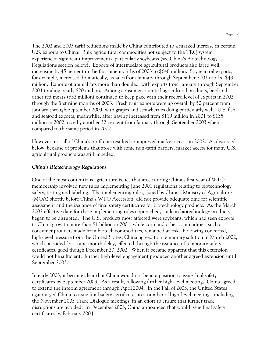The 2002 and 2003 tariff reductions made by China contributed to a marked increase in certain U.S. exports to China. Bulk agricultural commodities not subject to the TRQ system experienced significant improvements, particularly soybeans (see China's Biotechnology Regulations section below). Exports of intermediate agricultural products also fared well, increasing by 45 percent in the first nine months of 2003 to \$648 million. Soybean oil exports, for example, increased dramatically, as sales from January through September 2003 totaled \$48 million. Exports of animal fats more than doubled, with exports from January through September 2003 totaling nearly \$20 million. Among consumer-oriented agricultural products, beef and other red meats (\$32 million) continued to keep pace with their record level of exports in 2002 through the first nine months of 2003. Fresh fruit exports were up overall by 50 percent from January through September 2003, with grapes and strawberries doing particularly well. U.S. fish and seafood exports, meanwhile, after having increased from \$119 million in 2001 to \$135 million in 2002, rose by another 32 percent from January through September 2003 when compared to the same period in 2002.

However, not all of China's tariff cuts resulted in improved market access in 2002. As discussed below, because of problems that arose with some non-tariff barriers, market access for many U.S. agricultural products was still impeded.

#### *China's Biotechnology Regulations*

One of the most contentious agriculture issues that arose during China's first year of WTO membership involved new rules implementing June 2001 regulations relating to biotechnology safety, testing and labeling. The implementing rules, issued by China's Ministry of Agriculture (MOA) shortly before China's WTO Accession, did not provide adequate time for scientific assessment and the issuance of final safety certificates for biotechnology products. As the March 2002 effective date for these implementing rules approached, trade in biotechnology products began to be disrupted. The U.S. products most affected were soybeans, which had seen exports to China grow to more than \$1 billion in 2001, while corn and other commodities, such as consumer products made from biotech commodities, remained at risk. Following concerted, high-level pressure from the United States, China agreed to a temporary solution in March 2002, which provided for a nine-month delay, effected through the issuance of temporary safety certificates, good though December 20, 2002. When it became apparent that this extension would not be sufficient, further high-level engagement produced another agreed extension until September 2003.

In early 2003, it became clear that China would not be in a position to issue final safety certificates by September 2003. As a result, following further high-level meetings, China agreed to extend the interim agreement through April 2004. In the Fall of 2003, the United States again urged China to issue final safety certificates in a number of high-level meetings, including the November 2003 Trade Dialogue meetings, in an effort to ensure that further trade disruptions are avoided. In December 2003, China announced that would issue final safety certificates by February 2004.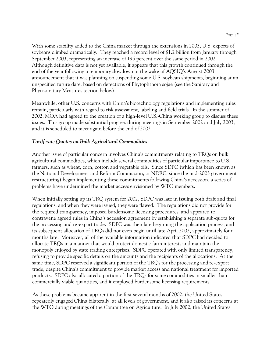With some stability added to the China market through the extensions in 2003, U.S. exports of soybeans climbed dramatically. They reached a record level of \$1.2 billion from January through September 2003, representing an increase of 195 percent over the same period in 2002. Although definitive data is not yet available, it appears that this growth continued through the end of the year following a temporary slowdown in the wake of AQSIQ's August 2003 announcement that it was planning on suspending some U.S. soybean shipments, beginning at an unspecified future date, based on detections of Phytophthora sojae (see the Sanitary and Phytosanitary Measures section below).

Meanwhile, other U.S. concerns with China's biotechnology regulations and implementing rules remain, particularly with regard to risk assessment, labeling and field trials. In the summer of 2002, MOA had agreed to the creation of a high-level U.S.-China working group to discuss these issues. This group made substantial progress during meetings in September 2002 and July 2003, and it is scheduled to meet again before the end of 2003.

# *Tariff-rate Quotas on Bulk Agricultural Commodities*

Another issue of particular concern involves China's commitments relating to TRQs on bulk agricultural commodities, which include several commodities of particular importance to U.S. farmers, such as wheat, corn, cotton and vegetable oils. Since SDPC (which has been known as the National Development and Reform Commission, or NDRC, since the mid-2003 government restructuring) began implementing these commitments following China's accession, a series of problems have undermined the market access envisioned by WTO members.

When initially setting up its TRQ system for 2002, SDPC was late in issuing both draft and final regulations, and when they were issued, they were flawed. The regulations did not provide for the required transparency, imposed burdensome licensing procedures, and appeared to contravene agreed rules in China's accession agreement by establishing a separate sub-quota for the processing and re-export trade. SDPC was then late beginning the application process, and its subsequent allocation of TRQs did not even begin until late April 2002, approximately four months late. Moreover, all of the available information indicated that SDPC had decided to allocate TRQs in a manner that would protect domestic farm interests and maintain the monopoly enjoyed by state trading enterprises. SDPC operated with only limited transparency, refusing to provide specific details on the amounts and the recipients of the allocations. At the same time, SDPC reserved a significant portion of the TRQs for the processing and re-export trade, despite China's commitment to provide market access and national treatment for imported products. SDPC also allocated a portion of the TRQs for some commodities in smaller than commercially viable quantities, and it employed burdensome licensing requirements.

As these problems became apparent in the first several months of 2002, the United States repeatedly engaged China bilaterally, at all levels of government, and it also raised its concerns at the WTO during meetings of the Committee on Agriculture. In July 2002, the United States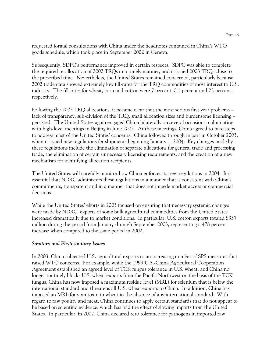requested formal consultations with China under the headnotes contained in China's WTO goods schedule, which took place in September 2002 in Geneva.

Subsequently, SDPC's performance improved in certain respects. SDPC was able to complete the required re-allocation of 2002 TRQs in a timely manner, and it issued 2003 TRQs close to the prescribed time. Nevertheless, the United States remained concerned, particularly because 2002 trade data showed extremely low fill-rates for the TRQ commodities of most interest to U.S. industry. The fill-rates for wheat, corn and cotton were 7 percent, 0.1 percent and 22 percent, respectively.

Following the 2003 TRQ allocations, it became clear that the most serious first year problems – lack of transparency, sub-division of the TRQ, small allocation sizes and burdensome licensing – persisted. The United States again engaged China bilaterally on several occasions, culminating with high-level meetings in Beijing in June 2003. At these meetings, China agreed to take steps to address most of the United States' concerns. China followed through in part in October 2003, when it issued new regulations for shipments beginning January 1, 2004. Key changes made by these regulations include the elimination of separate allocations for general trade and processing trade, the elimination of certain unnecessary licensing requirements, and the creation of a new mechanism for identifying allocation recipients.

The United States will carefully monitor how China enforces its new regulations in 2004. It is essential that NDRC administers these regulations in a manner that is consistent with China's commitments, transparent and in a manner that does not impede market access or commercial decisions.

While the United States' efforts in 2003 focused on ensuring that necessary systemic changes were made by NDRC, exports of some bulk agricultural commodities from the United States increased dramatically due to market conditions. In particular, U.S. cotton exports totaled \$337 million during the period from January through September 2003, representing a 478 percent increase when compared to the same period in 2002.

### *Sanitary and Phytosanitary Issues*

In 2003, China subjected U.S. agricultural exports to an increasing number of SPS measures that raised WTO concerns. For example, while the 1999 U.S.-China Agricultural Cooperation Agreement established an agreed level of TCK fungus tolerance in U.S. wheat, and China no longer routinely blocks U.S. wheat exports from the Pacific Northwest on the basis of the TCK fungus, China has now imposed a maximum residue level (MRL) for selenium that is below the international standard and threatens all U.S. wheat exports to China. In addition, China has imposed an MRL for vomitoxin in wheat in the absence of any international standard. With regard to raw poultry and meat, China continues to apply certain standards that do not appear to be based on scientific evidence, which has had the effect of slowing imports from the United States. In particular, in 2002, China declared zero tolerance for pathogens in imported raw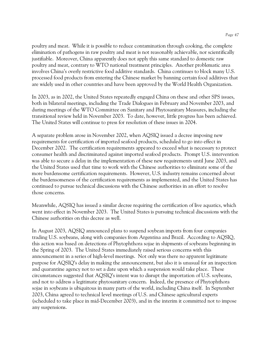poultry and meat. While it is possible to reduce contamination through cooking, the complete elimination of pathogens in raw poultry and meat is not reasonably achievable, nor scientifically justifiable. Moreover, China apparently does not apply this same standard to domestic raw poultry and meat, contrary to WTO national treatment principles. Another problematic area involves China's overly restrictive food additive standards. China continues to block many U.S. processed food products from entering the Chinese market by banning certain food additives that are widely used in other countries and have been approved by the World Health Organization.

In 2003, as in 2002, the United States repeatedly engaged China on these and other SPS issues, both in bilateral meetings, including the Trade Dialogues in February and November 2003, and during meetings of the WTO Committee on Sanitary and Phytosanitary Measures, including the transitional review held in November 2003. To date, however, little progress has been achieved. The United States will continue to press for resolution of these issues in 2004.

A separate problem arose in November 2002, when AQSIQ issued a decree imposing new requirements for certification of imported seafood products, scheduled to go into effect in December 2002. The certification requirements appeared to exceed what is necessary to protect consumer health and discriminated against imported seafood products. Prompt U.S. intervention was able to secure a delay in the implementation of these new requirements until June 2003, and the United States used that time to work with the Chinese authorities to eliminate some of the more burdensome certification requirements. However, U.S. industry remains concerned about the burdensomeness of the certification requirements as implemented, and the United States has continued to pursue technical discussions with the Chinese authorities in an effort to resolve those concerns.

Meanwhile, AQSIQ has issued a similar decree requiring the certification of live aquatics, which went into effect in November 2003. The United States is pursuing technical discussions with the Chinese authorities on this decree as well.

In August 2003, AQSIQ announced plans to suspend soybean imports from four companies trading U.S. soybeans, along with companies from Argentina and Brazil. According to AQSIQ, this action was based on detections of Phytophthora sojae in shipments of soybeans beginning in the Spring of 2003. The United States immediately raised serious concerns with this announcement in a series of high-level meetings. Not only was there no apparent legitimate purpose for AQSIQ's delay in making the announcement, but also it is unusual for an inspection and quarantine agency not to set a date upon which a suspension would take place. These circumstances suggested that AQSIQ's intent was to disrupt the importation of U.S. soybeans, and not to address a legitimate phytosanitary concern. Indeed, the presence of Phytophthora sojae in soybeans is ubiquitous in many parts of the world, including China itself. In September 2003, China agreed to technical level meetings of U.S. and Chinese agricultural experts (scheduled to take place in mid-December 2003), and in the interim it committed not to impose any suspensions.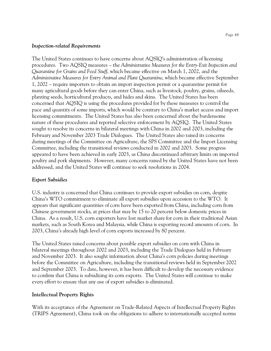#### *Inspection-related Requirements*

The United States continues to have concerns about AQSIQ's administration of licensing procedures. Two AQSIQ measures – the *Administrative Measures for the Entry-Exit Inspection and Quarantine for Grains and Feed Stuff*, which became effective on March 1, 2002, and the *Administrative Measures for Entry Animal and Plant Quarantine*, which became effective September 1, 2002 – require importers to obtain an import inspection permit or a quarantine permit for many agricultural goods before they can enter China, such as livestock, poultry, grains, oilseeds, planting seeds, horticultural products, and hides and skins. The United States has been concerned that AQSIQ is using the procedures provided for by these measures to control the pace and quantity of some imports, which would be contrary to China's market access and import licensing commitments. The United States has also been concerned about the burdensome nature of these procedures and reported selective enforcement by AQSIQ. The United States sought to resolve its concerns in bilateral meetings with China in 2002 and 2003, including the February and November 2003 Trade Dialogues. The United States also raised its concerns during meetings of the Committee on Agriculture, the SPS Committee and the Import Licensing Committee, including the transitional reviews conducted in 2002 and 2003. Some progress appeared to have been achieved in early 2003, as China discontinued arbitrary limits on imported poultry and pork shipments. However, many concerns raised by the United States have not been addressed, and the United States will continue to seek resolutions in 2004.

#### *Export Subsidies*

U.S. industry is concerned that China continues to provide export subsidies on corn, despite China's WTO commitment to eliminate all export subsidies upon accession to the WTO. It appears that significant quantities of corn have been exported from China, including corn from Chinese government stocks, at prices that may be 15 to 20 percent below domestic prices in China. As a result, U.S. corn exporters have lost market share for corn in their traditional Asian markets, such as South Korea and Malaysia, while China is exporting record amounts of corn. In 2003, China's already high level of corn exports increased by 80 percent.

The United States raised concerns about possible export subsidies on corn with China in bilateral meetings throughout 2002 and 2003, including the Trade Dialogues held in February and November 2003. It also sought information about China's corn policies during meetings before the Committee on Agriculture, including the transitional reviews held in September 2002 and September 2003. To date, however, it has been difficult to develop the necessary evidence to confirm that China is subsidizing its corn exports. The United States will continue to make every effort to ensure that any use of export subsidies is eliminated.

### **Intellectual Property Rights**

With its acceptance of the Agreement on Trade-Related Aspects of Intellectual Property Rights (TRIPS Agreement), China took on the obligations to adhere to internationally accepted norms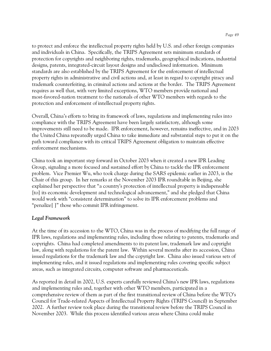to protect and enforce the intellectual property rights held by U.S. and other foreign companies and individuals in China. Specifically, the TRIPS Agreement sets minimum standards of protection for copyrights and neighboring rights, trademarks, geographical indications, industrial designs, patents, integrated-circuit layout designs and undisclosed information. Minimum standards are also established by the TRIPS Agreement for the enforcement of intellectual property rights in administrative and civil actions and, at least in regard to copyright piracy and trademark counterfeiting, in criminal actions and actions at the border. The TRIPS Agreement requires as well that, with very limited exceptions, WTO members provide national and most-favored-nation treatment to the nationals of other WTO members with regards to the protection and enforcement of intellectual property rights.

Overall, China's efforts to bring its framework of laws, regulations and implementing rules into compliance with the TRIPS Agreement have been largely satisfactory, although some improvements still need to be made. IPR enforcement, however, remains ineffective, and in 2003 the United China repeatedly urged China to take immediate and substantial steps to put it on the path toward compliance with its critical TRIPS Agreement obligation to maintain effective enforcement mechanisms.

China took an important step forward in October 2003 when it created a new IPR Leading Group, signaling a more focused and sustained effort by China to tackle the IPR enforcement problem. Vice Premier Wu, who took charge during the SARS epidemic earlier in 2003, is the Chair of this group. In her remarks at the November 2003 IPR roundtable in Beijing, she explained her perspective that "a country's protection of intellectual property is indispensable [to] its economic development and technological advancement," and she pledged that China would work with "consistent determination" to solve its IPR enforcement problems and "penalize[ ]" those who commit IPR infringement.

# *Legal Framework*

At the time of its accession to the WTO, China was in the process of modifying the full range of IPR laws, regulations and implementing rules, including those relating to patents, trademarks and copyrights. China had completed amendments to its patent law, trademark law and copyright law, along with regulations for the patent law. Within several months after its accession, China issued regulations for the trademark law and the copyright law. China also issued various sets of implementing rules, and it issued regulations and implementing rules covering specific subject areas, such as integrated circuits, computer software and pharmaceuticals.

As reported in detail in 2002, U.S. experts carefully reviewed China's new IPR laws, regulations and implementing rules and, together with other WTO members, participated in a comprehensive review of them as part of the first transitional review of China before the WTO's Council for Trade-related Aspects of Intellectual Property Rights (TRIPS Council) in September 2002. A further review took place during the transitional review before the TRIPS Council in November 2003. While this process identified various areas where China could make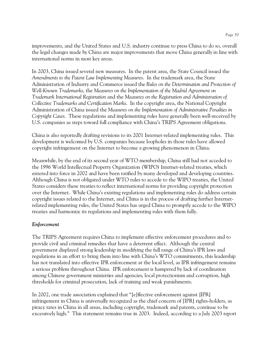improvements, and the United States and U.S. industry continue to press China to do so, overall the legal changes made by China are major improvements that move China generally in line with international norms in most key areas.

In 2003, China issued several new measures. In the patent area, the State Council issued the *Amendments to the Patent Law Implementing Measures*. In the trademark area, the State Administration of Industry and Commerce issued the *Rules on the Determination and Protection of Well-Known Trademarks*, the *Measures on the Implementation of the Madrid Agreement on Trademark International Registration* and the *Measures on the Registration and Administration of Collective Trademarks and Certification Marks*. In the copyright area, the National Copyright Administration of China issued the *Measures on the Implementation of Administrative Penalties in Copyright Cases*. These regulations and implementing rules have generally been well-received by U.S. companies as steps toward full compliance with China's TRIPS Agreement obligations.

China is also reportedly drafting revisions to its 2001 Internet-related implementing rules. This development is welcomed by U.S. companies because loopholes in those rules have allowed copyright infringement on the Internet to become a growing phenomenon in China.

Meanwhile, by the end of its second year of WTO membership, China still had not acceded to the 1996 World Intellectual Property Organization (WIPO) Internet-related treaties, which entered into force in 2002 and have been ratified by many developed and developing countries. Although China is not obligated under WTO rules to accede to the WIPO treaties, the United States considers these treaties to reflect international norms for providing copyright protection over the Internet. While China's existing regulations and implementing rules do address certain copyright issues related to the Internet, and China is in the process of drafting further Internetrelated implementing rules, the United States has urged China to promptly accede to the WIPO treaties and harmonize its regulations and implementing rules with them fully.

### *Enforcement*

The TRIPS Agreement requires China to implement effective enforcement procedures and to provide civil and criminal remedies that have a deterrent effect. Although the central government displayed strong leadership in modifying the full range of China's IPR laws and regulations in an effort to bring them into line with China's WTO commitments, this leadership has not translated into effective IPR enforcement at the local level, as IPR infringement remains a serious problem throughout China. IPR enforcement is hampered by lack of coordination among Chinese government ministries and agencies, local protectionism and corruption, high thresholds for criminal prosecution, lack of training and weak punishments.

In 2002, one trade association explained that "[e]ffective enforcement against [IPR] infringement in China is universally recognized as the chief concern of [IPR] rights-holders, as piracy rates in China in all areas, including copyright, trademark and patents, continue to be excessively high." This statement remains true in 2003. Indeed, according to a July 2003 report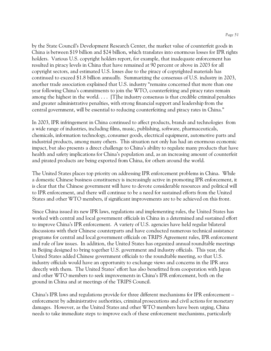by the State Council's Development Research Center, the market value of counterfeit goods in China is between \$19 billion and \$24 billion, which translates into enormous losses for IPR rights holders. Various U.S. copyright holders report, for example, that inadequate enforcement has resulted in piracy levels in China that have remained at 90 percent or above in 2003 for all copyright sectors, and estimated U.S. losses due to the piracy of copyrighted materials has continued to exceed \$1.8 billion annually. Summarizing the consensus of U.S. industry in 2003, another trade association explained that U.S. industry "remains concerned that more than one year following China's commitments to join the WTO, counterfeiting and piracy rates remain among the highest in the world.  $\dots$  [T]he industry consensus is that credible criminal penalties and greater administrative penalties, with strong financial support and leadership from the central government, will be essential to reducing counterfeiting and piracy rates in China."

In 2003, IPR infringement in China continued to affect products, brands and technologies from a wide range of industries, including films, music, publishing, software, pharmaceuticals, chemicals, information technology, consumer goods, electrical equipment, automotive parts and industrial products, among many others. This situation not only has had an enormous economic impact, but also presents a direct challenge to China's ability to regulate many products that have health and safety implications for China's population and, as an increasing amount of counterfeit and pirated products are being exported from China, for others around the world.

The United States places top priority on addressing IPR enforcement problems in China. While a domestic Chinese business constituency is increasingly active in promoting IPR enforcement, it is clear that the Chinese government will have to devote considerable resources and political will to IPR enforcement, and there will continue to be a need for sustained efforts from the United States and other WTO members, if significant improvements are to be achieved on this front.

Since China issued its new IPR laws, regulations and implementing rules, the United States has worked with central and local government officials in China in a determined and sustained effort to improve China's IPR enforcement. A variety of U.S. agencies have held regular bilateral discussions with their Chinese counterparts and have conducted numerous technical assistance programs for central and local government officials on TRIPS Agreement rules, IPR enforcement and rule of law issues. In addition, the United States has organized annual roundtable meetings in Beijing designed to bring together U.S. government and industry officials. This year, the United States added Chinese government officials to the roundtable meeting, so that U.S. industry officials would have an opportunity to exchange views and concerns in the IPR area directly with them. The United States' effort has also benefitted from cooperation with Japan and other WTO members to seek improvements in China's IPR enforcement, both on the ground in China and at meetings of the TRIPS Council.

China's IPR laws and regulations provide for three different mechanisms for IPR enforcement – enforcement by administrative authorities, criminal prosecutions and civil actions for monetary damages. However, as the United States and other WTO members have been urging, China needs to take immediate steps to improve each of these enforcement mechanisms, particularly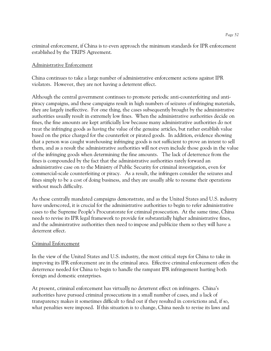criminal enforcement, if China is to even approach the minimum standards for IPR enforcement established by the TRIPS Agreement.

### Administrative Enforcement

China continues to take a large number of administrative enforcement actions against IPR violators. However, they are not having a deterrent effect.

Although the central government continues to promote periodic anti-counterfeiting and antipiracy campaigns, and these campaigns result in high numbers of seizures of infringing materials, they are largely ineffective. For one thing, the cases subsequently brought by the administrative authorities usually result in extremely low fines. When the administrative authorities decide on fines, the fine amounts are kept artificially low because many administrative authorities do not treat the infringing goods as having the value of the genuine articles, but rather establish value based on the price charged for the counterfeit or pirated goods. In addition, evidence showing that a person was caught warehousing infringing goods is not sufficient to prove an intent to sell them, and as a result the administrative authorities will not even include those goods in the value of the infringing goods when determining the fine amounts. The lack of deterrence from the fines is compounded by the fact that the administrative authorities rarely forward an administrative case on to the Ministry of Public Security for criminal investigation, even for commercial-scale counterfeiting or piracy. As a result, the infringers consider the seizures and fines simply to be a cost of doing business, and they are usually able to resume their operations without much difficulty.

As these centrally mandated campaigns demonstrate, and as the United States and U.S. industry have underscored, it is crucial for the administrative authorities to begin to refer administrative cases to the Supreme People's Procuratorate for criminal prosecution. At the same time, China needs to revise its IPR legal framework to provide for substantially higher administrative fines, and the administrative authorities then need to impose and publicize them so they will have a deterrent effect.

### Criminal Enforcement

In the view of the United States and U.S. industry, the most critical steps for China to take in improving its IPR enforcement are in the criminal area. Effective criminal enforcement offers the deterrence needed for China to begin to handle the rampant IPR infringement hurting both foreign and domestic enterprises.

At present, criminal enforcement has virtually no deterrent effect on infringers. China's authorities have pursued criminal prosecutions in a small number of cases, and a lack of transparency makes it sometimes difficult to find out if they resulted in convictions and, if so, what penalties were imposed. If this situation is to change, China needs to revise its laws and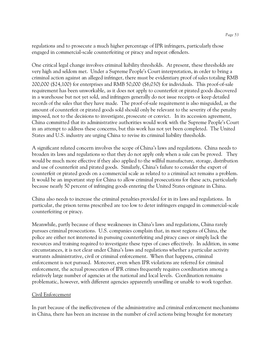regulations and to prosecute a much higher percentage of IPR infringers, particularly those engaged in commercial-scale counterfeiting or piracy and repeat offenders.

One critical legal change involves criminal liability thresholds. At present, these thresholds are very high and seldom met. Under a Supreme People's Court interpretation, in order to bring a criminal action against an alleged infringer, there must be evidentiary proof of sales totaling RMB 200,000 (\$24,100) for enterprises and RMB 50,000 (\$6,030) for individuals. This proof-of-sale requirement has been unworkable, as it does not apply to counterfeit or pirated goods discovered in a warehouse but not yet sold, and infringers generally do not issue receipts or keep detailed records of the sales that they have made. The proof-of-sale requirement is also misguided, as the amount of counterfeit or pirated goods sold should only be relevant to the severity of the penalty imposed, not to the decisions to investigate, prosecute or convict. In its accession agreement, China committed that its administrative authorities would work with the Supreme People's Court in an attempt to address these concerns, but this work has not yet been completed. The United States and U.S. industry are urging China to revise its criminal liability thresholds.

A significant related concern involves the scope of China's laws and regulations. China needs to broaden its laws and regulations so that they do not apply only when a sale can be proved. They would be much more effective if they also applied to the willful manufacture, storage, distribution and use of counterfeit and pirated goods. Similarly, China's failure to consider the export of counterfeit or pirated goods on a commercial scale as related to a criminal act remains a problem. It would be an important step for China to allow criminal prosecutions for these acts, particularly because nearly 50 percent of infringing goods entering the United States originate in China.

China also needs to increase the criminal penalties provided for in its laws and regulations. In particular, the prison terms prescribed are too low to deter infringers engaged in commercial-scale counterfeiting or piracy.

Meanwhile, partly because of these weaknesses in China's laws and regulations, China rarely pursues criminal prosecutions. U.S. companies complain that, in most regions of China, the police are either not interested in pursuing counterfeiting and piracy cases or simply lack the resources and training required to investigate these types of cases effectively. In addition, in some circumstances, it is not clear under China's laws and regulations whether a particular activity warrants administrative, civil or criminal enforcement. When that happens, criminal enforcement is not pursued. Moreover, even when IPR violations are referred for criminal enforcement, the actual prosecution of IPR crimes frequently requires coordination among a relatively large number of agencies at the national and local levels. Coordination remains problematic, however, with different agencies apparently unwilling or unable to work together.

### Civil Enforcement

In part because of the ineffectiveness of the administrative and criminal enforcement mechanisms in China, there has been an increase in the number of civil actions being brought for monetary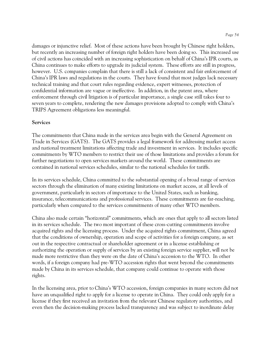damages or injunctive relief. Most of these actions have been brought by Chinese right holders, but recently an increasing number of foreign right holders have been doing so. This increased use of civil actions has coincided with an increasing sophistication on behalf of China's IPR courts, as China continues to make efforts to upgrade its judicial system. These efforts are still in progress, however. U.S. companies complain that there is still a lack of consistent and fair enforcement of China's IPR laws and regulations in the courts. They have found that most judges lack necessary technical training and that court rules regarding evidence, expert witnesses, protection of confidential information are vague or ineffective. In addition, in the patent area, where enforcement through civil litigation is of particular importance, a single case still takes four to seven years to complete, rendering the new damages provisions adopted to comply with China's TRIPS Agreement obligations less meaningful.

#### **Services**

The commitments that China made in the services area begin with the General Agreement on Trade in Services (GATS). The GATS provides a legal framework for addressing market access and national treatment limitations affecting trade and investment in services. It includes specific commitments by WTO members to restrict their use of those limitations and provides a forum for further negotiations to open services markets around the world. These commitments are contained in national services schedules, similar to the national schedules for tariffs.

In its services schedule, China committed to the substantial opening of a broad range of services sectors through the elimination of many existing limitations on market access, at all levels of government, particularly in sectors of importance to the United States, such as banking, insurance, telecommunications and professional services. These commitments are far-reaching, particularly when compared to the services commitments of many other WTO members.

China also made certain "horizontal" commitments, which are ones that apply to all sectors listed in its services schedule. The two most important of these cross-cutting commitments involve acquired rights and the licensing process. Under the acquired rights commitment, China agreed that the conditions of ownership, operation and scope of activities for a foreign company, as set out in the respective contractual or shareholder agreement or in a license establishing or authorizing the operation or supply of services by an existing foreign service supplier, will not be made more restrictive than they were on the date of China's accession to the WTO. In other words, if a foreign company had pre-WTO accession rights that went beyond the commitments made by China in its services schedule, that company could continue to operate with those rights.

In the licensing area, prior to China's WTO accession, foreign companies in many sectors did not have an unqualified right to apply for a license to operate in China. They could only apply for a license if they first received an invitation from the relevant Chinese regulatory authorities, and even then the decision-making process lacked transparency and was subject to inordinate delay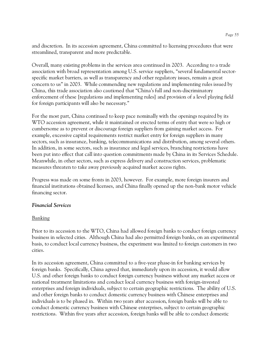and discretion. In its accession agreement, China committed to licensing procedures that were streamlined, transparent and more predictable.

Overall, many existing problems in the services area continued in 2003. According to a trade association with broad representation among U.S. service suppliers, "several fundamental sectorspecific market barriers, as well as transparency and other regulatory issues, remain a great concern to us" in 2003. While commending new regulations and implementing rules issued by China, this trade association also cautioned that "China's full and non-discriminatory enforcement of these [regulations and implementing rules] and provision of a level playing field for foreign participants will also be necessary."

For the most part, China continued to keep pace nominally with the openings required by its WTO accession agreement, while it maintained or erected terms of entry that were so high or cumbersome as to prevent or discourage foreign suppliers from gaining market access. For example, excessive capital requirements restrict market entry for foreign suppliers in many sectors, such as insurance, banking, telecommunications and distribution, among several others. In addition, in some sectors, such as insurance and legal services, branching restrictions have been put into effect that call into question commitments made by China in its Services Schedule. Meanwhile, in other sectors, such as express delivery and construction services, problematic measures threaten to take away previously acquired market access rights.

Progress was made on some fronts in 2003, however. For example, more foreign insurers and financial institutions obtained licenses, and China finally opened up the non-bank motor vehicle financing sector.

#### *Financial Services*

### Banking

Prior to its accession to the WTO, China had allowed foreign banks to conduct foreign currency business in selected cities. Although China had also permitted foreign banks, on an experimental basis, to conduct local currency business, the experiment was limited to foreign customers in two cities.

In its accession agreement, China committed to a five-year phase-in for banking services by foreign banks. Specifically, China agreed that, immediately upon its accession, it would allow U.S. and other foreign banks to conduct foreign currency business without any market access or national treatment limitations and conduct local currency business with foreign-invested enterprises and foreign individuals, subject to certain geographic restrictions. The ability of U.S. and other foreign banks to conduct domestic currency business with Chinese enterprises and individuals is to be phased in. Within two years after accession, foreign banks will be able to conduct domestic currency business with Chinese enterprises, subject to certain geographic restrictions. Within five years after accession, foreign banks will be able to conduct domestic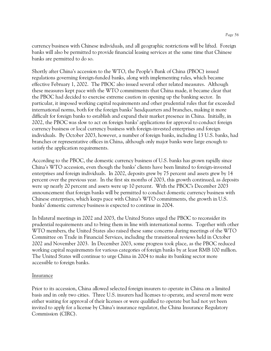currency business with Chinese individuals, and all geographic restrictions will be lifted. Foreign banks will also be permitted to provide financial leasing services at the same time that Chinese banks are permitted to do so.

Shortly after China's accession to the WTO, the People's Bank of China (PBOC) issued regulations governing foreign-funded banks, along with implementing rules, which became effective February 1, 2002. The PBOC also issued several other related measures. Although these measures kept pace with the WTO commitments that China made, it became clear that the PBOC had decided to exercise extreme caution in opening up the banking sector. In particular, it imposed working capital requirements and other prudential rules that far exceeded international norms, both for the foreign banks' headquarters and branches, making it more difficult for foreign banks to establish and expand their market presence in China. Initially, in 2002, the PBOC was slow to act on foreign banks' applications for approval to conduct foreign currency business or local currency business with foreign-invested enterprises and foreign individuals. By October 2003, however, a number of foreign banks, including 13 U.S. banks, had branches or representative offices in China, although only major banks were large enough to satisfy the application requirements.

According to the PBOC, the domestic currency business of U.S. banks has grown rapidly since China's WTO accession, even though the banks' clients have been limited to foreign-invested enterprises and foreign individuals. In 2002, deposits grew by 75 percent and assets grew by 14 percent over the previous year. In the first six months of 2003, this growth continued, as deposits were up nearly 20 percent and assets were up 10 percent. With the PBOC's December 2003 announcement that foreign banks will be permitted to conduct domestic currency business with Chinese enterprises, which keeps pace with China's WTO commitments, the growth in U.S. banks' domestic currency business is expected to continue in 2004.

In bilateral meetings in 2002 and 2003, the United States urged the PBOC to reconsider its prudential requirements and to bring them in line with international norms. Together with other WTO members, the United States also raised these same concerns during meetings of the WTO Committee on Trade in Financial Services, including the transitional reviews held in October 2002 and November 2003. In December 2003, some progress took place, as the PBOC reduced working capital requirements for various categories of foreign banks by at least RMB 100 million. The United States will continue to urge China in 2004 to make its banking sector more accessible to foreign banks.

### Insurance

Prior to its accession, China allowed selected foreign insurers to operate in China on a limited basis and in only two cities. Three U.S. insurers had licenses to operate, and several more were either waiting for approval of their licenses or were qualified to operate but had not yet been invited to apply for a license by China's insurance regulator, the China Insurance Regulatory Commission (CIRC).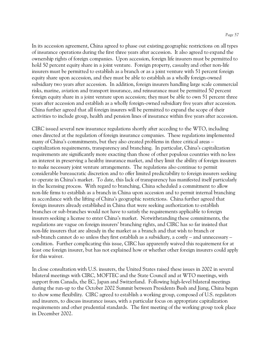In its accession agreement, China agreed to phase out existing geographic restrictions on all types of insurance operations during the first three years after accession. It also agreed to expand the ownership rights of foreign companies. Upon accession, foreign life insurers must be permitted to hold 50 percent equity share in a joint venture. Foreign property, casualty and other non-life insurers must be permitted to establish as a branch or as a joint venture with 51 percent foreign equity share upon accession, and they must be able to establish as a wholly foreign-owned subsidiary two years after accession. In addition, foreign insurers handling large scale commercial risks, marine, aviation and transport insurance, and reinsurance must be permitted 50 percent foreign equity share in a joint venture upon accession; they must be able to own 51 percent three years after accession and establish as a wholly foreign-owned subsidiary five years after accession. China further agreed that all foreign insurers will be permitted to expand the scope of their activities to include group, health and pension lines of insurance within five years after accession.

CIRC issued several new insurance regulations shortly after acceding to the WTO, including ones directed at the regulation of foreign insurance companies. These regulations implemented many of China's commitments, but they also created problems in three critical areas – capitalization requirements, transparency and branching. In particular, China's capitalization requirements are significantly more exacting than those of other populous countries with no less an interest in preserving a healthy insurance market, and they limit the ability of foreign insurers to make necessary joint venture arrangements. The regulations also continue to permit considerable bureaucratic discretion and to offer limited predictability to foreign insurers seeking to operate in China's market. To date, this lack of transparency has manifested itself particularly in the licensing process. With regard to branching, China scheduled a commitment to allow non-life firms to establish as a branch in China upon accession and to permit internal branching in accordance with the lifting of China's geographic restrictions. China further agreed that foreign insurers already established in China that were seeking authorization to establish branches or sub-branches would not have to satisfy the requirements applicable to foreign insurers seeking a license to enter China's market. Notwithstanding these commitments, the regulations are vague on foreign insurers' branching rights, and CIRC has so far insisted that non-life insurers that are already in the market as a branch and that wish to branch or sub-branch cannot do so unless they first establish as a subsidiary, a costly – and unnecessary – condition. Further complicating this issue, CIRC has apparently waived this requirement for at least one foreign insurer, but has not explained how or whether other foreign insurers could apply for this waiver.

In close consultation with U.S. insurers, the United States raised these issues in 2002 in several bilateral meetings with CIRC, MOFTEC and the State Council and at WTO meetings, with support from Canada, the EC, Japan and Switzerland. Following high-level bilateral meetings during the run-up to the October 2002 Summit between Presidents Bush and Jiang, China began to show some flexibility. CIRC agreed to establish a working group, composed of U.S. regulators and insurers, to discuss insurance issues, with a particular focus on appropriate capitalization requirements and other prudential standards. The first meeting of the working group took place in December 2002.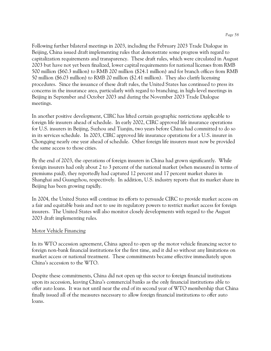Following further bilateral meetings in 2003, including the February 2003 Trade Dialogue in Beijing, China issued draft implementing rules that demonstrate some progress with regard to capitalization requirements and transparency. These draft rules, which were circulated in August 2003 but have not yet been finalized, lower capital requirements for national licenses from RMB 500 million (\$60.3 million) to RMB 200 million (\$24.1 million) and for branch offices from RMB 50 million (\$6.03 million) to RMB 20 million (\$2.41 million). They also clarify licensing procedures. Since the issuance of these draft rules, the United States has continued to press its concerns in the insurance area, particularly with regard to branching, in high-level meetings in Beijing in September and October 2003 and during the November 2003 Trade Dialogue meetings.

In another positive development, CIRC has lifted certain geographic restrictions applicable to foreign life insurers ahead of schedule. In early 2002, CIRC approved life insurance operations for U.S. insurers in Beijing, Suzhou and Tianjin, two years before China had committed to do so in its services schedule. In 2003, CIRC approved life insurance operations for a U.S. insurer in Chongqing nearly one year ahead of schedule. Other foreign life insurers must now be provided the same access to those cities.

By the end of 2003, the operations of foreign insurers in China had grown significantly. While foreign insurers had only about 2 to 3 percent of the national market (when measured in terms of premiums paid), they reportedly had captured 12 percent and 17 percent market shares in Shanghai and Guangzhou, respectively. In addition, U.S. industry reports that its market share in Beijing has been growing rapidly.

In 2004, the United States will continue its efforts to persuade CIRC to provide market access on a fair and equitable basis and not to use its regulatory powers to restrict market access for foreign insurers. The United States will also monitor closely developments with regard to the August 2003 draft implementing rules.

### Motor Vehicle Financing

In its WTO accession agreement, China agreed to open up the motor vehicle financing sector to foreign non-bank financial institutions for the first time, and it did so without any limitations on market access or national treatment. These commitments became effective immediately upon China's accession to the WTO.

Despite these commitments, China did not open up this sector to foreign financial institutions upon its accession, leaving China's commercial banks as the only financial institutions able to offer auto loans. It was not until near the end of its second year of WTO membership that China finally issued all of the measures necessary to allow foreign financial institutions to offer auto loans.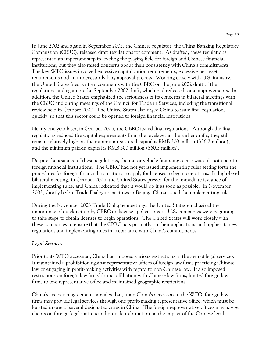In June 2002 and again in September 2002, the Chinese regulator, the China Banking Regulatory Commission (CBRC), released draft regulations for comment. As drafted, these regulations represented an important step in leveling the playing field for foreign and Chinese financial institutions, but they also raised concerns about their consistency with China's commitments. The key WTO issues involved excessive capitalization requirements, excessive net asset requirements and an unnecessarily long approval process. Working closely with U.S. industry, the United States filed written comments with the CBRC on the June 2002 draft of the regulations and again on the September 2002 draft, which had reflected some improvements. In addition, the United States emphasized the seriousness of its concerns in bilateral meetings with the CBRC and during meetings of the Council for Trade in Services, including the transitional review held in October 2002. The United States also urged China to issue final regulations quickly, so that this sector could be opened to foreign financial institutions.

Nearly one year later, in October 2003, the CBRC issued final regulations. Although the final regulations reduced the capital requirements from the levels set in the earlier drafts, they still remain relatively high, as the minimum registered capital is RMB 300 million (\$36.2 million), and the minimum paid-in capital is RMB 500 million (\$60.3 million).

Despite the issuance of these regulations, the motor vehicle financing sector was still not open to foreign financial institutions. The CBRC had not yet issued implementing rules setting forth the procedures for foreign financial institutions to apply for licenses to begin operations. In high-level bilateral meetings in October 2003, the United States pressed for the immediate issuance of implementing rules, and China indicated that it would do it as soon as possible. In November 2003, shortly before Trade Dialogue meetings in Beijing, China issued the implementing rules.

During the November 2003 Trade Dialogue meetings, the United States emphasized the importance of quick action by CBRC on license applications, as U.S. companies were beginning to take steps to obtain licenses to begin operations. The United States will work closely with these companies to ensure that the CBRC acts promptly on their applications and applies its new regulations and implementing rules in accordance with China's commitments.

# *Legal Services*

Prior to its WTO accession, China had imposed various restrictions in the area of legal services. It maintained a prohibition against representative offices of foreign law firms practicing Chinese law or engaging in profit-making activities with regard to non-Chinese law. It also imposed restrictions on foreign law firms' formal affiliation with Chinese law firms, limited foreign law firms to one representative office and maintained geographic restrictions.

China's accession agreement provides that, upon China's accession to the WTO, foreign law firms may provide legal services through one profit-making representative office, which must be located in one of several designated cities in China. The foreign representative offices may advise clients on foreign legal matters and provide information on the impact of the Chinese legal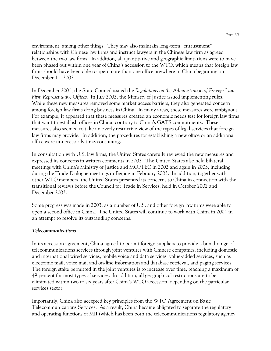environment, among other things. They may also maintain long-term "entrustment" relationships with Chinese law firms and instruct lawyers in the Chinese law firm as agreed between the two law firms. In addition, all quantitative and geographic limitations were to have been phased out within one year of China's accession to the WTO, which means that foreign law firms should have been able to open more than one office anywhere in China beginning on December 11, 2002.

In December 2001, the State Council issued the *Regulations on the Administration of Foreign Law Firm Representative Offices*. In July 2002, the Ministry of Justice issued implementing rules. While these new measures removed some market access barriers, they also generated concern among foreign law firms doing business in China. In many areas, these measures were ambiguous. For example, it appeared that these measures created an economic needs test for foreign law firms that want to establish offices in China, contrary to China's GATS commitments. These measures also seemed to take an overly restrictive view of the types of legal services that foreign law firms may provide. In addition, the procedures for establishing a new office or an additional office were unnecessarily time-consuming.

In consultation with U.S. law firms, the United States carefully reviewed the new measures and expressed its concerns in written comments in 2002. The United States also held bilateral meetings with China's Ministry of Justice and MOFTEC in 2002 and again in 2003, including during the Trade Dialogue meetings in Beijing in February 2003. In addition, together with other WTO members, the United States presented its concerns to China in connection with the transitional reviews before the Council for Trade in Services, held in October 2002 and December 2003.

Some progress was made in 2003, as a number of U.S. and other foreign law firms were able to open a second office in China. The United States will continue to work with China in 2004 in an attempt to resolve its outstanding concerns.

### *Telecommunications*

In its accession agreement, China agreed to permit foreign suppliers to provide a broad range of telecommunications services through joint ventures with Chinese companies, including domestic and international wired services, mobile voice and data services, value-added services, such as electronic mail, voice mail and on-line information and database retrieval, and paging services. The foreign stake permitted in the joint ventures is to increase over time, reaching a maximum of 49 percent for most types of services. In addition, all geographical restrictions are to be eliminated within two to six years after China's WTO accession, depending on the particular services sector.

Importantly, China also accepted key principles from the WTO Agreement on Basic Telecommunications Services. As a result, China became obligated to separate the regulatory and operating functions of MII (which has been both the telecommunications regulatory agency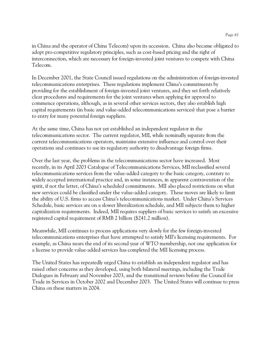in China and the operator of China Telecom) upon its accession. China also became obligated to adopt pro-competitive regulatory principles, such as cost-based pricing and the right of interconnection, which are necessary for foreign-invested joint ventures to compete with China Telecom.

In December 2001, the State Council issued regulations on the administration of foreign-invested telecommunications enterprises. These regulations implement China's commitments by providing for the establishment of foreign-invested joint ventures, and they set forth relatively clear procedures and requirements for the joint ventures when applying for approval to commence operations, although, as in several other services sectors, they also establish high capital requirements (in basic and value-added telecommunications services) that pose a barrier to entry for many potential foreign suppliers.

At the same time, China has not yet established an independent regulator in the telecommunications sector. The current regulator, MII, while nominally separate from the current telecommunications operators, maintains extensive influence and control over their operations and continues to use its regulatory authority to disadvantage foreign firms.

Over the last year, the problems in the telecommunications sector have increased. Most recently, in its April 2003 Catalogue of Telecommunications Services, MII reclassified several telecommunications services from the value-added category to the basic category, contrary to widely accepted international practice and, in some instances, in apparent contravention of the spirit, if not the letter, of China's scheduled commitments. MII also placed restrictions on what new services could be classified under the value-added category. These moves are likely to limit the ability of U.S. firms to access China's telecommunications market. Under China's Services Schedule, basic services are on a slower liberalization schedule, and MII subjects them to higher capitalization requirements. Indeed, MII requires suppliers of basic services to satisfy an excessive registered capital requirement of RMB 2 billion (\$241.2 million).

Meanwhile, MII continues to process applications very slowly for the few foreign-invested telecommunications enterprises that have attempted to satisfy MII's licensing requirements. For example, as China nears the end of its second year of WTO membership, not one application for a license to provide value-added services has completed the MII licensing process.

The United States has repeatedly urged China to establish an independent regulator and has raised other concerns as they developed, using both bilateral meetings, including the Trade Dialogues in February and November 2003, and the transitional reviews before the Council for Trade in Services in October 2002 and December 2003. The United States will continue to press China on these matters in 2004.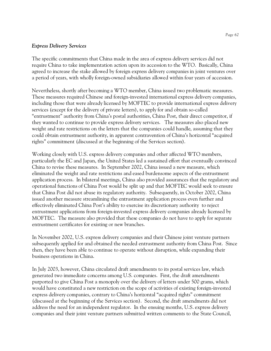#### *Express Delivery Services*

The specific commitments that China made in the area of express delivery services did not require China to take implementation action upon its accession to the WTO. Basically, China agreed to increase the stake allowed by foreign express delivery companies in joint ventures over a period of years, with wholly foreign-owned subsidiaries allowed within four years of accession.

Nevertheless, shortly after becoming a WTO member, China issued two problematic measures. These measures required Chinese and foreign-invested international express delivery companies, including those that were already licensed by MOFTEC to provide international express delivery services (except for the delivery of private letters), to apply for and obtain so-called "entrustment" authority from China's postal authorities, China Post, their direct competitor, if they wanted to continue to provide express delivery services. The measures also placed new weight and rate restrictions on the letters that the companies could handle, assuming that they could obtain entrustment authority, in apparent contravention of China's horizontal "acquired rights" commitment (discussed at the beginning of the Services section).

Working closely with U.S. express delivery companies and other affected WTO members, particularly the EC and Japan, the United States led a sustained effort that eventually convinced China to revise these measures. In September 2002, China issued a new measure, which eliminated the weight and rate restrictions and eased burdensome aspects of the entrustment application process. In bilateral meetings, China also provided assurances that the regulatory and operational functions of China Post would be split up and that MOFTEC would seek to ensure that China Post did not abuse its regulatory authority. Subsequently, in October 2002, China issued another measure streamlining the entrustment application process even further and effectively eliminated China Post's ability to exercise its discretionary authority to reject entrustment applications from foreign-invested express delivery companies already licensed by MOFTEC. The measure also provided that these companies do not have to apply for separate entrustment certificates for existing or new branches.

In November 2002, U.S. express delivery companies and their Chinese joint venture partners subsequently applied for and obtained the needed entrustment authority from China Post. Since then, they have been able to continue to operate without disruption, while expanding their business operations in China.

In July 2003, however, China circulated draft amendments to its postal services law, which generated two immediate concerns among U.S. companies. First, the draft amendments purported to give China Post a monopoly over the delivery of letters under 500 grams, which would have constituted a new restriction on the scope of activities of existing foreign-invested express delivery companies, contrary to China's horizontal "acquired rights" commitment (discussed at the beginning of the Services section). Second, the draft amendments did not address the need for an independent regulator. In the ensuing months, U.S. express delivery companies and their joint venture partners submitted written comments to the State Council,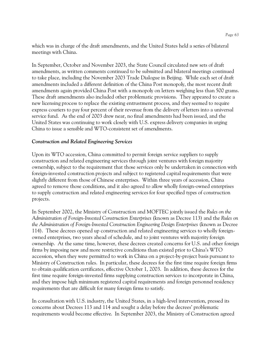which was in charge of the draft amendments, and the United States held a series of bilateral meetings with China.

In September, October and November 2003, the State Council circulated new sets of draft amendments, as written comments continued to be submitted and bilateral meetings continued to take place, including the November 2003 Trade Dialogue in Beijing. While each set of draft amendments included a different definition of the China Post monopoly, the most recent draft amendments again provided China Post with a monopoly on letters weighing less than 500 grams. These draft amendments also included other problematic provisions. They appeared to create a new licensing process to replace the existing entrustment process, and they seemed to require express couriers to pay four percent of their revenue from the delivery of letters into a universal service fund. As the end of 2003 drew near, no final amendments had been issued, and the United States was continuing to work closely with U.S. express delivery companies in urging China to issue a sensible and WTO-consistent set of amendments.

#### *Construction and Related Engineering Services*

Upon its WTO accession, China committed to permit foreign service suppliers to supply construction and related engineering services through joint ventures with foreign majority ownership, subject to the requirement that those services only be undertaken in connection with foreign-invested construction projects and subject to registered capital requirements that were slightly different from those of Chinese enterprises. Within three years of accession, China agreed to remove those conditions, and it also agreed to allow wholly foreign-owned enterprises to supply construction and related engineering services for four specified types of construction projects.

In September 2002, the Ministry of Construction and MOFTEC jointly issued the *Rules on the Administration of Foreign-Invested Construction Enterprises* (known as Decree 113) and the *Rules on the Administration of Foreign-Invested Construction Engineering Design Enterprises* (known as Decree 114). These decrees opened up construction and related engineering services to wholly foreignowned enterprises, two years ahead of schedule, and to joint ventures with majority foreign ownership. At the same time, however, these decrees created concerns for U.S. and other foreign firms by imposing new and more restrictive conditions than existed prior to China's WTO accession, when they were permitted to work in China on a project-by-project basis pursuant to Ministry of Construction rules. In particular, these decrees for the first time require foreign firms to obtain qualification certificates, effective October 1, 2003. In addition, these decrees for the first time require foreign-invested firms supplying construction services to incorporate in China, and they impose high minimum registered capital requirements and foreign personnel residency requirements that are difficult for many foreign firms to satisfy.

In consultation with U.S. industry, the United States, in a high-level intervention, pressed its concerns about Decrees 113 and 114 and sought a delay before the decrees' problematic requirements would become effective. In September 2003, the Ministry of Construction agreed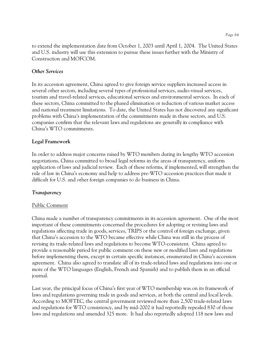to extend the implementation date from October 1, 2003 until April 1, 2004. The United States and U.S. industry will use this extension to pursue these issues further with the Ministry of Construction and MOFCOM.

## *Other Services*

In its accession agreement, China agreed to give foreign service suppliers increased access in several other sectors, including several types of professional services, audio-visual services, tourism and travel-related services, educational services and environmental services. In each of these sectors, China committed to the phased elimination or reduction of various market access and national treatment limitations. To date, the United States has not discovered any significant problems with China's implementation of the commitments made in these sectors, and U.S. companies confirm that the relevant laws and regulations are generally in compliance with China's WTO commitments.

# **Legal Framework**

In order to address major concerns raised by WTO members during its lengthy WTO accession negotiations, China committed to broad legal reforms in the areas of transparency, uniform application of laws and judicial review. Each of these reforms, if implemented, will strengthen the rule of law in China's economy and help to address pre-WTO accession practices that made it difficult for U.S. and other foreign companies to do business in China.

### *Transparency*

### Public Comment

China made a number of transparency commitments in its accession agreement. One of the most important of these commitments concerned the procedures for adopting or revising laws and regulations affecting trade in goods, services, TRIPS or the control of foreign exchange, given that China's accession to the WTO became effective while China was still in the process of revising its trade-related laws and regulations to become WTO-consistent. China agreed to provide a reasonable period for public comment on these new or modified laws and regulations before implementing them, except in certain specific instances, enumerated in China's accession agreement. China also agreed to translate all of its trade-related laws and regulations into one or more of the WTO languages (English, French and Spanish) and to publish them in an official journal.

Last year, the principal focus of China's first year of WTO membership was on its framework of laws and regulations governing trade in goods and services, at both the central and local levels. According to MOFTEC, the central government reviewed more than 2,500 trade-related laws and regulations for WTO consistency, and by mid-2002 it had reportedly repealed 830 of those laws and regulations and amended 325 more. It had also reportedly adopted 118 new laws and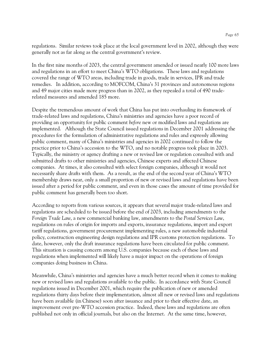regulations. Similar reviews took place at the local government level in 2002, although they were generally not as far along as the central government's review.

In the first nine months of 2003, the central government amended or issued nearly 100 more laws and regulations in an effort to meet China's WTO obligations. These laws and regulations covered the range of WTO areas, including trade in goods, trade in services, IPR and trade remedies. In addition, according to MOFCOM, China's 31 provinces and autonomous regions and 49 major cities made more progress than in 2002, as they repealed a total of 490 traderelated measures and amended 185 more.

Despite the tremendous amount of work that China has put into overhauling its framework of trade-related laws and regulations, China's ministries and agencies have a poor record of providing an opportunity for public comment *before* new or modified laws and regulations are implemented. Although the State Council issued regulations in December 2001 addressing the procedures for the formulation of administrative regulations and rules and expressly allowing public comment, many of China's ministries and agencies in 2002 continued to follow the practice prior to China's accession to the WTO, and no notable progress took place in 2003. Typically, the ministry or agency drafting a new or revised law or regulation consulted with and submitted drafts to other ministries and agencies, Chinese experts and affected Chinese companies. At times, it also consulted with select foreign companies, although it would not necessarily share drafts with them. As a result, as the end of the second year of China's WTO membership draws near, only a small proportion of new or revised laws and regulations have been issued after a period for public comment, and even in those cases the amount of time provided for public comment has generally been too short.

According to reports from various sources, it appears that several major trade-related laws and regulations are scheduled to be issued before the end of 2003, including amendments to the *Foreign Trade Law*, a new commercial banking law, amendments to the *Postal Services Law*, regulations on rules of origin for imports and exports, insurance regulations, import and export tariff regulations, government procurement implementing rules, a new automobile industrial policy, construction engineering design regulations and IPR customs protection regulations. To date, however, only the draft insurance regulations have been circulated for public comment. This situation is causing concern among U.S. companies because each of these laws and regulations when implemented will likely have a major impact on the operations of foreign companies doing business in China.

Meanwhile, China's ministries and agencies have a much better record when it comes to making new or revised laws and regulations available to the public. In accordance with State Council regulations issued in December 2001, which require the publication of new or amended regulations thirty days before their implementation, almost all new or revised laws and regulations have been available (in Chinese) soon after issuance and prior to their effective date, an improvement over pre-WTO accession practice. Indeed, these laws and regulations are often published not only in official journals, but also on the Internet. At the same time, however,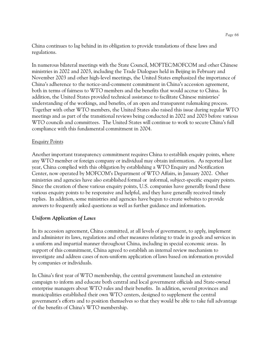China continues to lag behind in its obligation to provide translations of these laws and regulations.

In numerous bilateral meetings with the State Council, MOFTEC/MOFCOM and other Chinese ministries in 2002 and 2003, including the Trade Dialogues held in Beijing in February and November 2003 and other high-level meetings, the United States emphasized the importance of China's adherence to the notice-and-comment commitment in China's accession agreement, both in terms of fairness to WTO members and the benefits that would accrue to China. In addition, the United States provided technical assistance to facilitate Chinese ministries' understanding of the workings, and benefits, of an open and transparent rulemaking process. Together with other WTO members, the United States also raised this issue during regular WTO meetings and as part of the transitional reviews being conducted in 2002 and 2003 before various WTO councils and committees. The United States will continue to work to secure China's full compliance with this fundamental commitment in 2004.

### Enquiry Points

Another important transparency commitment requires China to establish enquiry points, where any WTO member or foreign company or individual may obtain information. As reported last year, China complied with this obligation by establishing a WTO Enquiry and Notification Center, now operated by MOFCOM's Department of WTO Affairs, in January 2002. Other ministries and agencies have also established formal or informal, subject-specific enquiry points. Since the creation of these various enquiry points, U.S. companies have generally found these various enquiry points to be responsive and helpful, and they have generally received timely replies. In addition, some ministries and agencies have begun to create websites to provide answers to frequently asked questions as well as further guidance and information.

### *Uniform Application of Laws*

In its accession agreement, China committed, at all levels of government, to apply, implement and administer its laws, regulations and other measures relating to trade in goods and services in a uniform and impartial manner throughout China, including in special economic areas. In support of this commitment, China agreed to establish an internal review mechanism to investigate and address cases of non-uniform application of laws based on information provided by companies or individuals.

In China's first year of WTO membership, the central government launched an extensive campaign to inform and educate both central and local government officials and State-owned enterprise managers about WTO rules and their benefits. In addition, several provinces and municipalities established their own WTO centers, designed to supplement the central government's efforts and to position themselves so that they would be able to take full advantage of the benefits of China's WTO membership.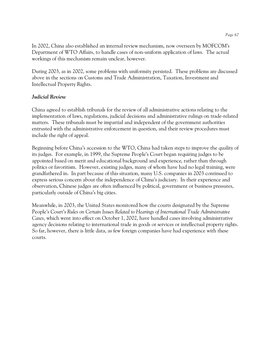In 2002, China also established an internal review mechanism, now overseen by MOFCOM's Department of WTO Affairs, to handle cases of non-uniform application of laws. The actual workings of this mechanism remain unclear, however.

During 2003, as in 2002, some problems with uniformity persisted. These problems are discussed above in the sections on Customs and Trade Administration, Taxation, Investment and Intellectual Property Rights.

#### *Judicial Review*

China agreed to establish tribunals for the review of all administrative actions relating to the implementation of laws, regulations, judicial decisions and administrative rulings on trade-related matters. These tribunals must be impartial and independent of the government authorities entrusted with the administrative enforcement in question, and their review procedures must include the right of appeal.

Beginning before China's accession to the WTO, China had taken steps to improve the quality of its judges. For example, in 1999, the Supreme People's Court began requiring judges to be appointed based on merit and educational background and experience, rather than through politics or favoritism. However, existing judges, many of whom have had no legal training, were grandfathered in. In part because of this situation, many U.S. companies in 2003 continued to express serious concern about the independence of China's judiciary. In their experience and observation, Chinese judges are often influenced by political, government or business pressures, particularly outside of China's big cities.

Meanwhile, in 2003, the United States monitored how the courts designated by the Supreme People's Court's *Rules on Certain Issues Related to Hearings of International Trade Administrative Cases*, which went into effect on October 1, 2002, have handled cases involving administrative agency decisions relating to international trade in goods or services or intellectual property rights. So far, however, there is little data, as few foreign companies have had experience with these courts.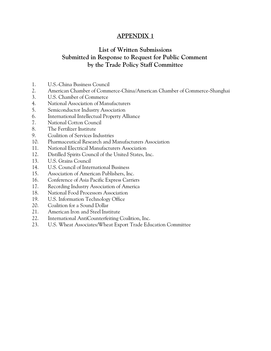# **APPENDIX 1**

# **List of Written Submissions Submitted in Response to Request for Public Comment by the Trade Policy Staff Committee**

- 1. U.S.-China Business Council
- 2. American Chamber of Commerce-China/American Chamber of Commerce-Shanghai
- 3. U.S. Chamber of Commerce
- 4. National Association of Manufacturers
- 5. Semiconductor Industry Association
- 6. International Intellectual Property Alliance
- 7. National Cotton Council
- 8. The Fertilizer Institute
- 9. Coalition of Services Industries
- 10. Pharmaceutical Research and Manufacturers Association
- 11. National Electrical Manufacturers Association
- 12. Distilled Spirits Council of the United States, Inc.
- 13. U.S. Grains Council
- 14. U.S. Council of International Business
- 15. Association of American Publishers, Inc.
- 16. Conference of Asia Pacific Express Carriers
- 17. Recording Industry Association of America
- 18. National Food Processors Association
- 19. U.S. Information Technology Office
- 20. Coalition for a Sound Dollar
- 21. American Iron and Steel Institute
- 22. International AntiCounterfeiting Coalition, Inc.
- 23. U.S. Wheat Associates/Wheat Export Trade Education Committee